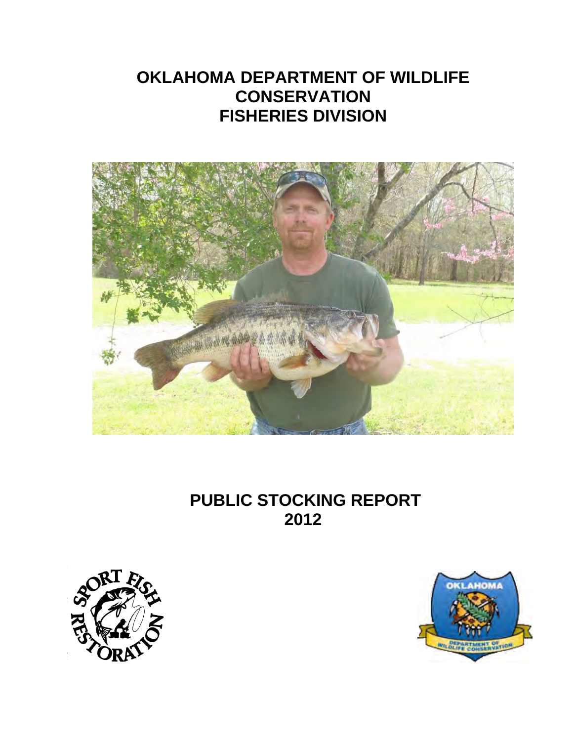# **OKLAHOMA DEPARTMENT OF WILDLIFE CONSERVATION FISHERIES DIVISION**



 **PUBLIC STOCKING REPORT 2012** 



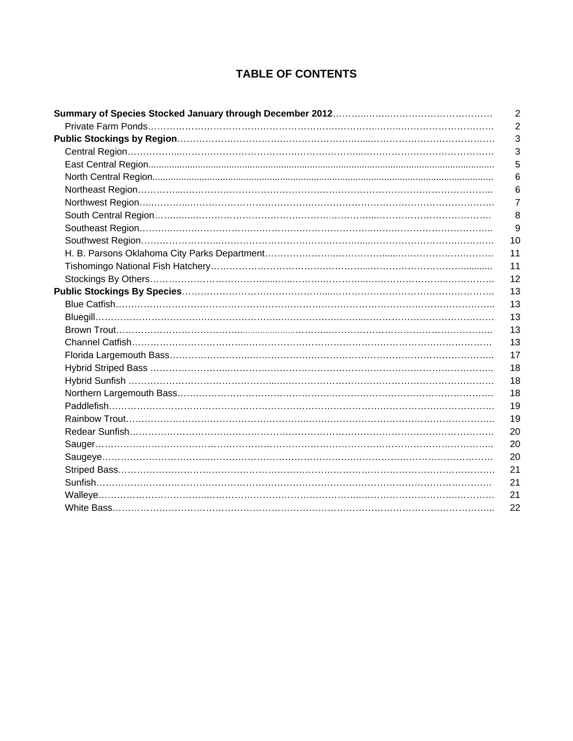# **TABLE OF CONTENTS**

| $\overline{2}$ |
|----------------|
| $\overline{2}$ |
| 3              |
| 3              |
| 5              |
| 6              |
| 6              |
| 7              |
| 8              |
| 9              |
| 10             |
| 11             |
| 11             |
| 12             |
| 13             |
| 13             |
| 13             |
| 13             |
| 13             |
| 17             |
| 18             |
| 18             |
| 18             |
| 19             |
| 19             |
| 20             |
| 20             |
| 20             |
| 21             |
| 21             |
| 21             |
| 22             |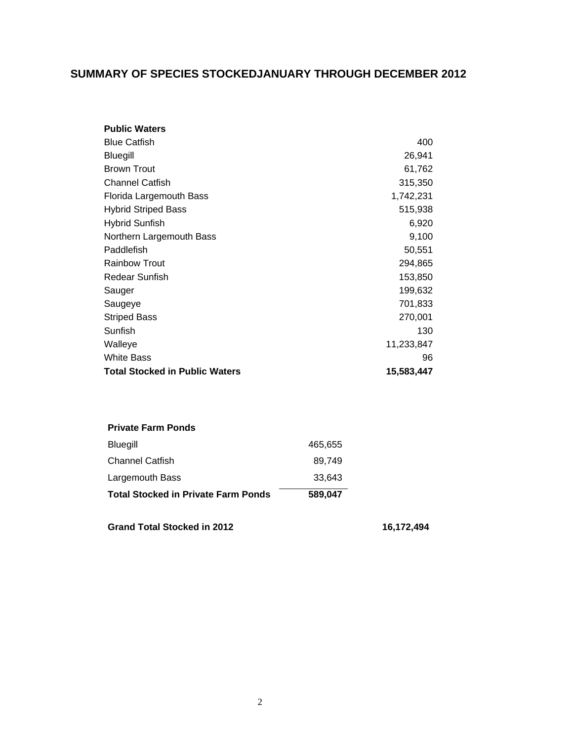## **SUMMARY OF SPECIES STOCKEDJANUARY THROUGH DECEMBER 2012**

| <b>Public Waters</b>                  |            |
|---------------------------------------|------------|
| <b>Blue Catfish</b>                   | 400        |
| Bluegill                              | 26,941     |
| <b>Brown Trout</b>                    | 61,762     |
| <b>Channel Catfish</b>                | 315,350    |
| Florida Largemouth Bass               | 1,742,231  |
| <b>Hybrid Striped Bass</b>            | 515,938    |
| <b>Hybrid Sunfish</b>                 | 6,920      |
| Northern Largemouth Bass              | 9,100      |
| Paddlefish                            | 50,551     |
| <b>Rainbow Trout</b>                  | 294,865    |
| Redear Sunfish                        | 153,850    |
| Sauger                                | 199,632    |
| Saugeye                               | 701,833    |
| <b>Striped Bass</b>                   | 270,001    |
| Sunfish                               | 130        |
| Walleye                               | 11,233,847 |
| <b>White Bass</b>                     | 96         |
| <b>Total Stocked in Public Waters</b> | 15,583,447 |

#### **Private Farm Ponds**

| <b>Total Stocked in Private Farm Ponds</b> | 589.047 |
|--------------------------------------------|---------|
| Largemouth Bass                            | 33.643  |
| <b>Channel Catfish</b>                     | 89.749  |
| <b>Bluegill</b>                            | 465,655 |

Grand Total Stocked in 2012 **16,172,494**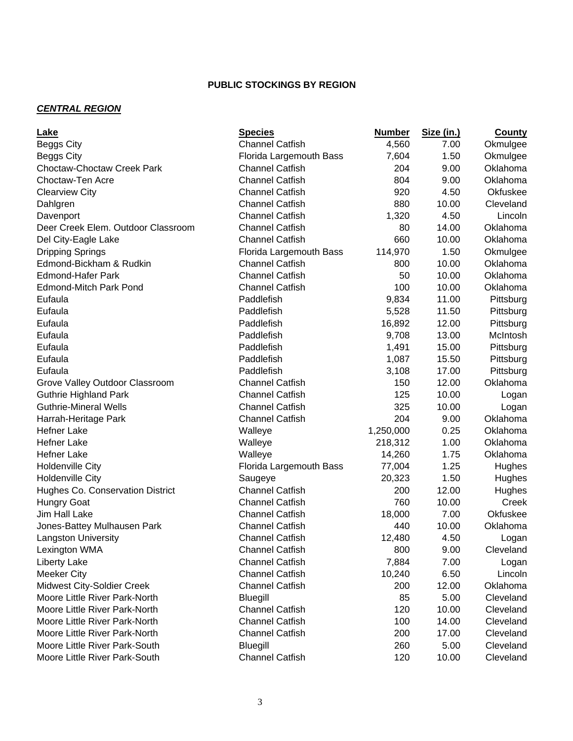## *CENTRAL REGION*

| Lake                               | <b>Species</b>          | <b>Number</b> | Size (in.) | <b>County</b> |
|------------------------------------|-------------------------|---------------|------------|---------------|
| Beggs City                         | <b>Channel Catfish</b>  | 4,560         | 7.00       | Okmulgee      |
| Beggs City                         | Florida Largemouth Bass | 7,604         | 1.50       | Okmulgee      |
| <b>Choctaw-Choctaw Creek Park</b>  | <b>Channel Catfish</b>  | 204           | 9.00       | Oklahoma      |
| Choctaw-Ten Acre                   | <b>Channel Catfish</b>  | 804           | 9.00       | Oklahoma      |
| <b>Clearview City</b>              | <b>Channel Catfish</b>  | 920           | 4.50       | Okfuskee      |
| Dahlgren                           | <b>Channel Catfish</b>  | 880           | 10.00      | Cleveland     |
| Davenport                          | <b>Channel Catfish</b>  | 1,320         | 4.50       | Lincoln       |
| Deer Creek Elem. Outdoor Classroom | <b>Channel Catfish</b>  | 80            | 14.00      | Oklahoma      |
| Del City-Eagle Lake                | <b>Channel Catfish</b>  | 660           | 10.00      | Oklahoma      |
| <b>Dripping Springs</b>            | Florida Largemouth Bass | 114,970       | 1.50       | Okmulgee      |
| Edmond-Bickham & Rudkin            | <b>Channel Catfish</b>  | 800           | 10.00      | Oklahoma      |
| <b>Edmond-Hafer Park</b>           | <b>Channel Catfish</b>  | 50            | 10.00      | Oklahoma      |
| <b>Edmond-Mitch Park Pond</b>      | <b>Channel Catfish</b>  | 100           | 10.00      | Oklahoma      |
| Eufaula                            | Paddlefish              | 9,834         | 11.00      | Pittsburg     |
| Eufaula                            | Paddlefish              | 5,528         | 11.50      | Pittsburg     |
| Eufaula                            | Paddlefish              | 16,892        | 12.00      | Pittsburg     |
| Eufaula                            | Paddlefish              | 9,708         | 13.00      | McIntosh      |
| Eufaula                            | Paddlefish              | 1,491         | 15.00      | Pittsburg     |
| Eufaula                            | Paddlefish              | 1,087         | 15.50      | Pittsburg     |
| Eufaula                            | Paddlefish              | 3,108         | 17.00      | Pittsburg     |
| Grove Valley Outdoor Classroom     | <b>Channel Catfish</b>  | 150           | 12.00      | Oklahoma      |
| <b>Guthrie Highland Park</b>       | <b>Channel Catfish</b>  | 125           | 10.00      | Logan         |
| <b>Guthrie-Mineral Wells</b>       | <b>Channel Catfish</b>  | 325           | 10.00      | Logan         |
| Harrah-Heritage Park               | <b>Channel Catfish</b>  | 204           | 9.00       | Oklahoma      |
| <b>Hefner Lake</b>                 | Walleye                 | 1,250,000     | 0.25       | Oklahoma      |
| <b>Hefner Lake</b>                 | Walleye                 | 218,312       | 1.00       | Oklahoma      |
| <b>Hefner Lake</b>                 | Walleye                 | 14,260        | 1.75       | Oklahoma      |
| <b>Holdenville City</b>            | Florida Largemouth Bass | 77,004        | 1.25       | Hughes        |
| <b>Holdenville City</b>            | Saugeye                 | 20,323        | 1.50       | Hughes        |
| Hughes Co. Conservation District   | <b>Channel Catfish</b>  | 200           | 12.00      | Hughes        |
| <b>Hungry Goat</b>                 | <b>Channel Catfish</b>  | 760           | 10.00      | Creek         |
| Jim Hall Lake                      | <b>Channel Catfish</b>  | 18,000        | 7.00       | Okfuskee      |
| Jones-Battey Mulhausen Park        | <b>Channel Catfish</b>  | 440           | 10.00      | Oklahoma      |
| <b>Langston University</b>         | <b>Channel Catfish</b>  | 12,480        | 4.50       | Logan         |
| Lexington WMA                      | <b>Channel Catfish</b>  | 800           | 9.00       | Cleveland     |
| <b>Liberty Lake</b>                | <b>Channel Catfish</b>  | 7,884         | 7.00       | Logan         |
| <b>Meeker City</b>                 | <b>Channel Catfish</b>  | 10,240        | 6.50       | Lincoln       |
| <b>Midwest City-Soldier Creek</b>  | <b>Channel Catfish</b>  | 200           | 12.00      | Oklahoma      |
| Moore Little River Park-North      | Bluegill                | 85            | 5.00       | Cleveland     |
| Moore Little River Park-North      | <b>Channel Catfish</b>  | 120           | 10.00      | Cleveland     |
| Moore Little River Park-North      | <b>Channel Catfish</b>  | 100           | 14.00      | Cleveland     |
| Moore Little River Park-North      | <b>Channel Catfish</b>  | 200           | 17.00      | Cleveland     |
| Moore Little River Park-South      | Bluegill                | 260           | 5.00       | Cleveland     |
| Moore Little River Park-South      | <b>Channel Catfish</b>  | 120           | 10.00      | Cleveland     |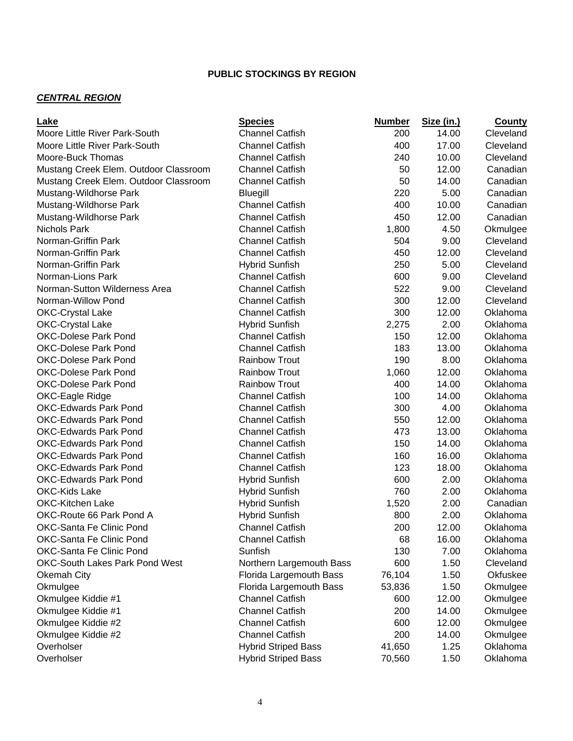#### *CENTRAL REGION*

| <b>Lake</b>                           | <b>Species</b>             | <b>Number</b> | Size (in.) | <b>County</b> |
|---------------------------------------|----------------------------|---------------|------------|---------------|
| Moore Little River Park-South         | <b>Channel Catfish</b>     | 200           | 14.00      | Cleveland     |
| Moore Little River Park-South         | <b>Channel Catfish</b>     | 400           | 17.00      | Cleveland     |
| Moore-Buck Thomas                     | <b>Channel Catfish</b>     | 240           | 10.00      | Cleveland     |
| Mustang Creek Elem. Outdoor Classroom | <b>Channel Catfish</b>     | 50            | 12.00      | Canadian      |
| Mustang Creek Elem. Outdoor Classroom | <b>Channel Catfish</b>     | 50            | 14.00      | Canadian      |
| Mustang-Wildhorse Park                | <b>Bluegill</b>            | 220           | 5.00       | Canadian      |
| Mustang-Wildhorse Park                | <b>Channel Catfish</b>     | 400           | 10.00      | Canadian      |
| Mustang-Wildhorse Park                | <b>Channel Catfish</b>     | 450           | 12.00      | Canadian      |
| <b>Nichols Park</b>                   | <b>Channel Catfish</b>     | 1,800         | 4.50       | Okmulgee      |
| Norman-Griffin Park                   | <b>Channel Catfish</b>     | 504           | 9.00       | Cleveland     |
| Norman-Griffin Park                   | <b>Channel Catfish</b>     | 450           | 12.00      | Cleveland     |
| Norman-Griffin Park                   | <b>Hybrid Sunfish</b>      | 250           | 5.00       | Cleveland     |
| Norman-Lions Park                     | <b>Channel Catfish</b>     | 600           | 9.00       | Cleveland     |
| Norman-Sutton Wilderness Area         | <b>Channel Catfish</b>     | 522           | 9.00       | Cleveland     |
| Norman-Willow Pond                    | <b>Channel Catfish</b>     | 300           | 12.00      | Cleveland     |
| <b>OKC-Crystal Lake</b>               | <b>Channel Catfish</b>     | 300           | 12.00      | Oklahoma      |
| <b>OKC-Crystal Lake</b>               | <b>Hybrid Sunfish</b>      | 2,275         | 2.00       | Oklahoma      |
| <b>OKC-Dolese Park Pond</b>           | <b>Channel Catfish</b>     | 150           | 12.00      | Oklahoma      |
| <b>OKC-Dolese Park Pond</b>           | <b>Channel Catfish</b>     | 183           | 13.00      | Oklahoma      |
| <b>OKC-Dolese Park Pond</b>           | <b>Rainbow Trout</b>       | 190           | 8.00       | Oklahoma      |
| <b>OKC-Dolese Park Pond</b>           | <b>Rainbow Trout</b>       | 1,060         | 12.00      | Oklahoma      |
| <b>OKC-Dolese Park Pond</b>           | <b>Rainbow Trout</b>       | 400           | 14.00      | Oklahoma      |
| OKC-Eagle Ridge                       | <b>Channel Catfish</b>     | 100           | 14.00      | Oklahoma      |
| <b>OKC-Edwards Park Pond</b>          | <b>Channel Catfish</b>     | 300           | 4.00       | Oklahoma      |
| <b>OKC-Edwards Park Pond</b>          | <b>Channel Catfish</b>     | 550           | 12.00      | Oklahoma      |
| <b>OKC-Edwards Park Pond</b>          | <b>Channel Catfish</b>     | 473           | 13.00      | Oklahoma      |
| <b>OKC-Edwards Park Pond</b>          | <b>Channel Catfish</b>     | 150           | 14.00      | Oklahoma      |
| <b>OKC-Edwards Park Pond</b>          | <b>Channel Catfish</b>     | 160           | 16.00      | Oklahoma      |
| <b>OKC-Edwards Park Pond</b>          | <b>Channel Catfish</b>     | 123           | 18.00      | Oklahoma      |
| <b>OKC-Edwards Park Pond</b>          | <b>Hybrid Sunfish</b>      | 600           | 2.00       | Oklahoma      |
| <b>OKC-Kids Lake</b>                  | <b>Hybrid Sunfish</b>      | 760           | 2.00       | Oklahoma      |
| <b>OKC-Kitchen Lake</b>               | <b>Hybrid Sunfish</b>      | 1,520         | 2.00       | Canadian      |
| OKC-Route 66 Park Pond A              | <b>Hybrid Sunfish</b>      | 800           | 2.00       | Oklahoma      |
| OKC-Santa Fe Clinic Pond              | <b>Channel Catfish</b>     | 200           | 12.00      | Oklahoma      |
| OKC-Santa Fe Clinic Pond              | <b>Channel Catfish</b>     | 68            | 16.00      | Oklahoma      |
| OKC-Santa Fe Clinic Pond              | Sunfish                    | 130           | 7.00       | Oklahoma      |
| OKC-South Lakes Park Pond West        | Northern Largemouth Bass   | 600           | 1.50       | Cleveland     |
| Okemah City                           | Florida Largemouth Bass    | 76,104        | 1.50       | Okfuskee      |
| Okmulgee                              | Florida Largemouth Bass    | 53,836        | 1.50       | Okmulgee      |
| Okmulgee Kiddie #1                    | <b>Channel Catfish</b>     | 600           | 12.00      | Okmulgee      |
| Okmulgee Kiddie #1                    | <b>Channel Catfish</b>     | 200           | 14.00      | Okmulgee      |
| Okmulgee Kiddie #2                    | <b>Channel Catfish</b>     | 600           | 12.00      | Okmulgee      |
| Okmulgee Kiddie #2                    | <b>Channel Catfish</b>     | 200           | 14.00      | Okmulgee      |
| Overholser                            | <b>Hybrid Striped Bass</b> | 41,650        | 1.25       | Oklahoma      |
| Overholser                            | <b>Hybrid Striped Bass</b> | 70,560        | 1.50       | Oklahoma      |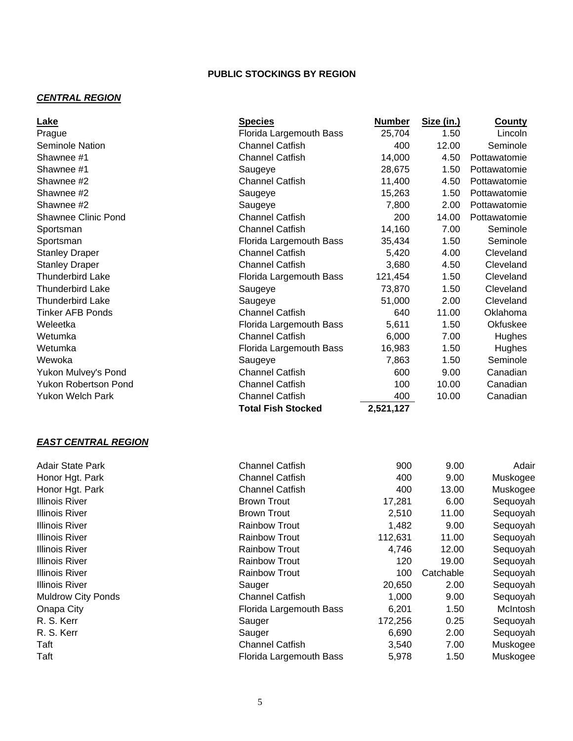#### *CENTRAL REGION*

| Lake                        | <b>Species</b>            | <b>Number</b> | Size (in.) | <b>County</b> |
|-----------------------------|---------------------------|---------------|------------|---------------|
| Prague                      | Florida Largemouth Bass   | 25,704        | 1.50       | Lincoln       |
| Seminole Nation             | <b>Channel Catfish</b>    | 400           | 12.00      | Seminole      |
| Shawnee #1                  | <b>Channel Catfish</b>    | 14,000        | 4.50       | Pottawatomie  |
| Shawnee #1                  | Saugeye                   | 28,675        | 1.50       | Pottawatomie  |
| Shawnee #2                  | <b>Channel Catfish</b>    | 11,400        | 4.50       | Pottawatomie  |
| Shawnee #2                  | Saugeye                   | 15,263        | 1.50       | Pottawatomie  |
| Shawnee #2                  | Saugeye                   | 7,800         | 2.00       | Pottawatomie  |
| <b>Shawnee Clinic Pond</b>  | <b>Channel Catfish</b>    | 200           | 14.00      | Pottawatomie  |
| Sportsman                   | <b>Channel Catfish</b>    | 14,160        | 7.00       | Seminole      |
| Sportsman                   | Florida Largemouth Bass   | 35,434        | 1.50       | Seminole      |
| <b>Stanley Draper</b>       | <b>Channel Catfish</b>    | 5,420         | 4.00       | Cleveland     |
| <b>Stanley Draper</b>       | <b>Channel Catfish</b>    | 3,680         | 4.50       | Cleveland     |
| <b>Thunderbird Lake</b>     | Florida Largemouth Bass   | 121,454       | 1.50       | Cleveland     |
| <b>Thunderbird Lake</b>     | Saugeye                   | 73,870        | 1.50       | Cleveland     |
| <b>Thunderbird Lake</b>     | Saugeye                   | 51,000        | 2.00       | Cleveland     |
| <b>Tinker AFB Ponds</b>     | <b>Channel Catfish</b>    | 640           | 11.00      | Oklahoma      |
| Weleetka                    | Florida Largemouth Bass   | 5,611         | 1.50       | Okfuskee      |
| Wetumka                     | <b>Channel Catfish</b>    | 6,000         | 7.00       | Hughes        |
| Wetumka                     | Florida Largemouth Bass   | 16,983        | 1.50       | Hughes        |
| Wewoka                      | Saugeye                   | 7,863         | 1.50       | Seminole      |
| Yukon Mulvey's Pond         | <b>Channel Catfish</b>    | 600           | 9.00       | Canadian      |
| <b>Yukon Robertson Pond</b> | <b>Channel Catfish</b>    | 100           | 10.00      | Canadian      |
| <b>Yukon Welch Park</b>     | <b>Channel Catfish</b>    | 400           | 10.00      | Canadian      |
|                             | <b>Total Fish Stocked</b> | 2,521,127     |            |               |
| <b>EAST CENTRAL REGION</b>  |                           |               |            |               |
| <b>Adair State Park</b>     | <b>Channel Catfish</b>    | 900           | 9.00       | Adair         |
| Honor Hgt. Park             | <b>Channel Catfish</b>    | 400           | 9.00       | Muskogee      |
| Honor Hgt. Park             | <b>Channel Catfish</b>    | 400           | 13.00      | Muskogee      |
| <b>Illinois River</b>       | <b>Brown Trout</b>        | 17,281        | 6.00       | Sequoyah      |
| <b>Illinois River</b>       | <b>Brown Trout</b>        | 2,510         | 11.00      | Sequoyah      |
| <b>Illinois River</b>       | <b>Rainbow Trout</b>      | 1,482         | 9.00       | Sequoyah      |
| <b>Illinois River</b>       | <b>Rainbow Trout</b>      | 112,631       | 11.00      | Sequoyah      |
| <b>Illinois River</b>       | <b>Rainbow Trout</b>      | 4,746         | 12.00      | Sequoyah      |
| <b>Illinois River</b>       | <b>Rainbow Trout</b>      | 120           | 19.00      | Sequoyah      |
| <b>Illinois River</b>       | <b>Rainbow Trout</b>      | 100           | Catchable  | Sequoyah      |
| <b>Illinois River</b>       | Sauger                    | 20,650        | 2.00       | Sequoyah      |
| <b>Muldrow City Ponds</b>   | <b>Channel Catfish</b>    | 1,000         | 9.00       | Sequoyah      |
| Onapa City                  | Florida Largemouth Bass   | 6,201         | 1.50       | McIntosh      |
| R. S. Kerr                  | Sauger                    | 172,256       | 0.25       | Sequoyah      |
| R. S. Kerr                  | Sauger                    | 6,690         | 2.00       | Sequoyah      |
| Taft                        | <b>Channel Catfish</b>    | 3,540         | 7.00       | Muskogee      |
| Taft                        | Florida Largemouth Bass   | 5,978         | 1.50       | Muskogee      |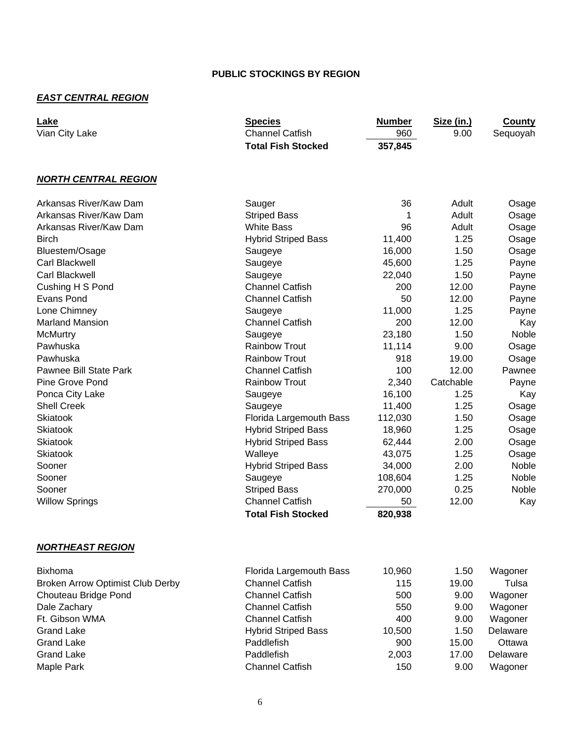## *EAST CENTRAL REGION*

| Lake<br>Vian City Lake                  | <b>Species</b><br><b>Channel Catfish</b><br><b>Total Fish Stocked</b> | <b>Number</b><br>960<br>357,845 | Size (in.)<br>9.00 | <b>County</b><br>Sequoyah |
|-----------------------------------------|-----------------------------------------------------------------------|---------------------------------|--------------------|---------------------------|
| <b>NORTH CENTRAL REGION</b>             |                                                                       |                                 |                    |                           |
| Arkansas River/Kaw Dam                  | Sauger                                                                | 36                              | Adult              | Osage                     |
| Arkansas River/Kaw Dam                  | <b>Striped Bass</b>                                                   | 1                               | Adult              | Osage                     |
| Arkansas River/Kaw Dam                  | <b>White Bass</b>                                                     | 96                              | Adult              | Osage                     |
| <b>Birch</b>                            | <b>Hybrid Striped Bass</b>                                            | 11,400                          | 1.25               | Osage                     |
| Bluestem/Osage                          | Saugeye                                                               | 16,000                          | 1.50               | Osage                     |
| Carl Blackwell                          | Saugeye                                                               | 45,600                          | 1.25               | Payne                     |
| Carl Blackwell                          | Saugeye                                                               | 22,040                          | 1.50               | Payne                     |
| Cushing H S Pond                        | <b>Channel Catfish</b>                                                | 200                             | 12.00              | Payne                     |
| Evans Pond                              | <b>Channel Catfish</b>                                                | 50                              | 12.00              | Payne                     |
| Lone Chimney                            | Saugeye                                                               | 11,000                          | 1.25               | Payne                     |
| <b>Marland Mansion</b>                  | <b>Channel Catfish</b>                                                | 200                             | 12.00              | Kay                       |
| <b>McMurtry</b>                         | Saugeye                                                               | 23,180                          | 1.50               | Noble                     |
| Pawhuska                                | <b>Rainbow Trout</b>                                                  | 11,114                          | 9.00               | Osage                     |
| Pawhuska                                | <b>Rainbow Trout</b>                                                  | 918                             | 19.00              | Osage                     |
| Pawnee Bill State Park                  | <b>Channel Catfish</b>                                                | 100                             | 12.00              | Pawnee                    |
| Pine Grove Pond                         | <b>Rainbow Trout</b>                                                  | 2,340                           | Catchable          | Payne                     |
| Ponca City Lake                         | Saugeye                                                               | 16,100                          | 1.25               | Kay                       |
| <b>Shell Creek</b>                      | Saugeye                                                               | 11,400                          | 1.25               | Osage                     |
| <b>Skiatook</b>                         | Florida Largemouth Bass                                               | 112,030                         | 1.50               | Osage                     |
| Skiatook                                | <b>Hybrid Striped Bass</b>                                            | 18,960                          | 1.25               | Osage                     |
| Skiatook                                | <b>Hybrid Striped Bass</b>                                            | 62,444                          | 2.00               | Osage                     |
| <b>Skiatook</b>                         | Walleye                                                               | 43,075                          | 1.25               | Osage                     |
| Sooner                                  | <b>Hybrid Striped Bass</b>                                            | 34,000                          | 2.00               | Noble                     |
| Sooner                                  | Saugeye                                                               | 108,604                         | 1.25               | Noble                     |
| Sooner                                  | <b>Striped Bass</b>                                                   | 270,000                         | 0.25               | Noble                     |
| <b>Willow Springs</b>                   | <b>Channel Catfish</b>                                                | 50                              | 12.00              | Kay                       |
|                                         | <b>Total Fish Stocked</b>                                             | 820,938                         |                    |                           |
| <b>NORTHEAST REGION</b>                 |                                                                       |                                 |                    |                           |
| <b>Bixhoma</b>                          | Florida Largemouth Bass                                               | 10,960                          | 1.50               | Wagoner                   |
| <b>Broken Arrow Optimist Club Derby</b> | <b>Channel Catfish</b>                                                | 115                             | 19.00              | Tulsa                     |
| Chouteau Bridge Pond                    | <b>Channel Catfish</b>                                                | 500                             | 9.00               | Wagoner                   |
| Dale Zachary                            | <b>Channel Catfish</b>                                                | 550                             | 9.00               | Wagoner                   |
| Ft. Gibson WMA                          | <b>Channel Catfish</b>                                                | 400                             | 9.00               | Wagoner                   |
| <b>Grand Lake</b>                       | <b>Hybrid Striped Bass</b>                                            | 10,500                          | 1.50               | Delaware                  |
| <b>Grand Lake</b>                       | Paddlefish                                                            | 900                             | 15.00              | Ottawa                    |
| <b>Grand Lake</b>                       | Paddlefish                                                            | 2,003                           | 17.00              | Delaware                  |
| Maple Park                              | <b>Channel Catfish</b>                                                | 150                             | 9.00               | Wagoner                   |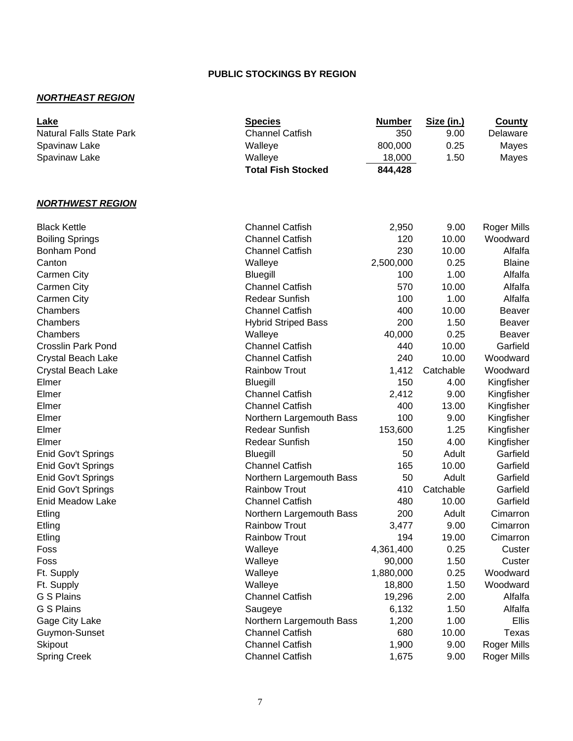#### *NORTHEAST REGION*

| Lake                            | <b>Species</b>             | <b>Number</b> | Size (in.) | <b>County</b>      |
|---------------------------------|----------------------------|---------------|------------|--------------------|
| <b>Natural Falls State Park</b> | <b>Channel Catfish</b>     | 350           | 9.00       | Delaware           |
| Spavinaw Lake                   | Walleye                    | 800,000       | 0.25       | Mayes              |
| Spavinaw Lake                   | Walleye                    | 18,000        | 1.50       | Mayes              |
|                                 | <b>Total Fish Stocked</b>  | 844,428       |            |                    |
|                                 |                            |               |            |                    |
| <b>NORTHWEST REGION</b>         |                            |               |            |                    |
| <b>Black Kettle</b>             | <b>Channel Catfish</b>     | 2,950         | 9.00       | <b>Roger Mills</b> |
| <b>Boiling Springs</b>          | <b>Channel Catfish</b>     | 120           | 10.00      | Woodward           |
| <b>Bonham Pond</b>              | <b>Channel Catfish</b>     | 230           | 10.00      | Alfalfa            |
| Canton                          | Walleye                    | 2,500,000     | 0.25       | <b>Blaine</b>      |
| <b>Carmen City</b>              | <b>Bluegill</b>            | 100           | 1.00       | Alfalfa            |
| <b>Carmen City</b>              | <b>Channel Catfish</b>     | 570           | 10.00      | Alfalfa            |
| <b>Carmen City</b>              | Redear Sunfish             | 100           | 1.00       | Alfalfa            |
| Chambers                        | <b>Channel Catfish</b>     | 400           | 10.00      | <b>Beaver</b>      |
| Chambers                        | <b>Hybrid Striped Bass</b> | 200           | 1.50       | Beaver             |
| Chambers                        | Walleye                    | 40,000        | 0.25       | <b>Beaver</b>      |
| <b>Crosslin Park Pond</b>       | <b>Channel Catfish</b>     | 440           | 10.00      | Garfield           |
| Crystal Beach Lake              | <b>Channel Catfish</b>     | 240           | 10.00      | Woodward           |
| Crystal Beach Lake              | <b>Rainbow Trout</b>       | 1,412         | Catchable  | Woodward           |
| Elmer                           | <b>Bluegill</b>            | 150           | 4.00       | Kingfisher         |
| Elmer                           | <b>Channel Catfish</b>     | 2,412         | 9.00       | Kingfisher         |
| Elmer                           | <b>Channel Catfish</b>     | 400           | 13.00      | Kingfisher         |
| Elmer                           | Northern Largemouth Bass   | 100           | 9.00       | Kingfisher         |
| Elmer                           | <b>Redear Sunfish</b>      | 153,600       | 1.25       | Kingfisher         |
| Elmer                           | <b>Redear Sunfish</b>      | 150           | 4.00       | Kingfisher         |
| Enid Gov't Springs              | <b>Bluegill</b>            | 50            | Adult      | Garfield           |
| Enid Gov't Springs              | <b>Channel Catfish</b>     | 165           | 10.00      | Garfield           |
| Enid Gov't Springs              | Northern Largemouth Bass   | 50            | Adult      | Garfield           |
| Enid Gov't Springs              | <b>Rainbow Trout</b>       | 410           | Catchable  | Garfield           |
| Enid Meadow Lake                | <b>Channel Catfish</b>     | 480           | 10.00      | Garfield           |
| Etling                          | Northern Largemouth Bass   | 200           | Adult      | Cimarron           |
| Etling                          | <b>Rainbow Trout</b>       | 3,477         | 9.00       | Cimarron           |
| Etling                          | <b>Rainbow Trout</b>       | 194           | 19.00      | Cimarron           |
| Foss                            | Walleye                    | 4,361,400     | 0.25       | Custer             |
| Foss                            | Walleye                    | 90,000        | 1.50       | Custer             |
| Ft. Supply                      | Walleye                    | 1,880,000     | 0.25       | Woodward           |
| Ft. Supply                      | Walleye                    | 18,800        | 1.50       | Woodward           |
| G S Plains                      | <b>Channel Catfish</b>     | 19,296        | 2.00       | Alfalfa            |
| G S Plains                      | Saugeye                    | 6,132         | 1.50       | Alfalfa            |
| Gage City Lake                  | Northern Largemouth Bass   | 1,200         | 1.00       | Ellis              |
| Guymon-Sunset                   | <b>Channel Catfish</b>     | 680           | 10.00      | <b>Texas</b>       |
| Skipout                         | <b>Channel Catfish</b>     | 1,900         | 9.00       | <b>Roger Mills</b> |
| <b>Spring Creek</b>             |                            |               | 9.00       |                    |
|                                 | <b>Channel Catfish</b>     | 1,675         |            | <b>Roger Mills</b> |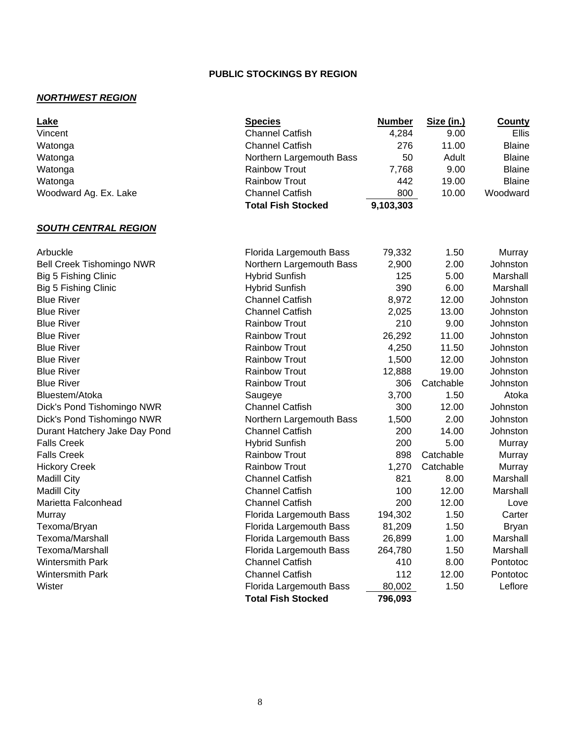## *NORTHWEST REGION*

| Lake<br>Vincent                  | <b>Species</b><br><b>Channel Catfish</b> | <b>Number</b><br>4,284 | Size (in.)<br>9.00 | <b>County</b><br>Ellis |
|----------------------------------|------------------------------------------|------------------------|--------------------|------------------------|
| Watonga                          | <b>Channel Catfish</b>                   | 276                    | 11.00              | <b>Blaine</b>          |
| Watonga                          | Northern Largemouth Bass                 | 50                     | Adult              | <b>Blaine</b>          |
| Watonga                          | <b>Rainbow Trout</b>                     | 7,768                  | 9.00               | <b>Blaine</b>          |
| Watonga                          | <b>Rainbow Trout</b>                     | 442                    | 19.00              | <b>Blaine</b>          |
| Woodward Ag. Ex. Lake            | <b>Channel Catfish</b>                   | 800                    | 10.00              | Woodward               |
|                                  | <b>Total Fish Stocked</b>                | 9,103,303              |                    |                        |
| <b>SOUTH CENTRAL REGION</b>      |                                          |                        |                    |                        |
| Arbuckle                         | Florida Largemouth Bass                  | 79,332                 | 1.50               | Murray                 |
| <b>Bell Creek Tishomingo NWR</b> | Northern Largemouth Bass                 | 2,900                  | 2.00               | Johnston               |
| Big 5 Fishing Clinic             | <b>Hybrid Sunfish</b>                    | 125                    | 5.00               | Marshall               |
| Big 5 Fishing Clinic             | <b>Hybrid Sunfish</b>                    | 390                    | 6.00               | Marshall               |
| <b>Blue River</b>                | <b>Channel Catfish</b>                   | 8,972                  | 12.00              | Johnston               |
| <b>Blue River</b>                | <b>Channel Catfish</b>                   | 2,025                  | 13.00              | Johnston               |
| <b>Blue River</b>                | <b>Rainbow Trout</b>                     | 210                    | 9.00               | Johnston               |
| <b>Blue River</b>                | <b>Rainbow Trout</b>                     | 26,292                 | 11.00              | Johnston               |
| <b>Blue River</b>                | <b>Rainbow Trout</b>                     | 4,250                  | 11.50              | Johnston               |
| <b>Blue River</b>                | <b>Rainbow Trout</b>                     | 1,500                  | 12.00              | Johnston               |
| <b>Blue River</b>                | <b>Rainbow Trout</b>                     | 12,888                 | 19.00              | Johnston               |
| <b>Blue River</b>                | <b>Rainbow Trout</b>                     | 306                    | Catchable          | Johnston               |
| Bluestem/Atoka                   | Saugeye                                  | 3,700                  | 1.50               | Atoka                  |
| Dick's Pond Tishomingo NWR       | <b>Channel Catfish</b>                   | 300                    | 12.00              | Johnston               |
| Dick's Pond Tishomingo NWR       | Northern Largemouth Bass                 | 1,500                  | 2.00               | Johnston               |
| Durant Hatchery Jake Day Pond    | <b>Channel Catfish</b>                   | 200                    | 14.00              | Johnston               |
| <b>Falls Creek</b>               | <b>Hybrid Sunfish</b>                    | 200                    | 5.00               | Murray                 |
| <b>Falls Creek</b>               | <b>Rainbow Trout</b>                     | 898                    | Catchable          | Murray                 |
| <b>Hickory Creek</b>             | <b>Rainbow Trout</b>                     | 1,270                  | Catchable          | Murray                 |
| <b>Madill City</b>               | <b>Channel Catfish</b>                   | 821                    | 8.00               | Marshall               |
| <b>Madill City</b>               | <b>Channel Catfish</b>                   | 100                    | 12.00              | Marshall               |
| Marietta Falconhead              | <b>Channel Catfish</b>                   | 200                    | 12.00              | Love                   |
| Murray                           | Florida Largemouth Bass                  | 194,302                | 1.50               | Carter                 |
| Texoma/Bryan                     | Florida Largemouth Bass                  | 81,209                 | 1.50               | <b>Bryan</b>           |
| Texoma/Marshall                  | Florida Largemouth Bass                  | 26,899                 | 1.00               | Marshall               |
| Texoma/Marshall                  | Florida Largemouth Bass                  | 264,780                | 1.50               | Marshall               |
| Wintersmith Park                 | <b>Channel Catfish</b>                   | 410                    | 8.00               | Pontotoc               |
| Wintersmith Park                 | <b>Channel Catfish</b>                   | 112                    | 12.00              | Pontotoc               |
| Wister                           | Florida Largemouth Bass                  | 80,002                 | 1.50               | Leflore                |
|                                  | <b>Total Fish Stocked</b>                | 796,093                |                    |                        |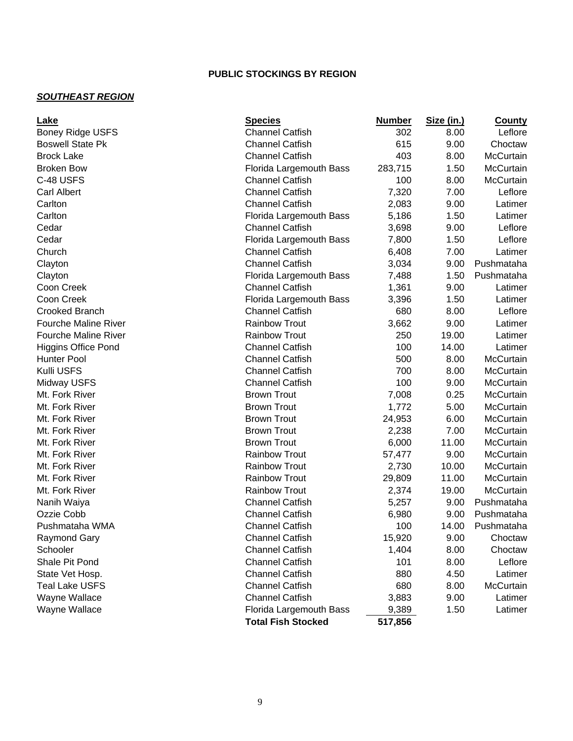## *SOUTHEAST REGION*

| Lake                        | <b>Species</b>            | <b>Number</b> | Size (in.) | <b>County</b> |
|-----------------------------|---------------------------|---------------|------------|---------------|
| <b>Boney Ridge USFS</b>     | <b>Channel Catfish</b>    | 302           | 8.00       | Leflore       |
| <b>Boswell State Pk</b>     | <b>Channel Catfish</b>    | 615           | 9.00       | Choctaw       |
| <b>Brock Lake</b>           | <b>Channel Catfish</b>    | 403           | 8.00       | McCurtain     |
| <b>Broken Bow</b>           | Florida Largemouth Bass   | 283,715       | 1.50       | McCurtain     |
| C-48 USFS                   | <b>Channel Catfish</b>    | 100           | 8.00       | McCurtain     |
| <b>Carl Albert</b>          | <b>Channel Catfish</b>    | 7,320         | 7.00       | Leflore       |
| Carlton                     | <b>Channel Catfish</b>    | 2,083         | 9.00       | Latimer       |
| Carlton                     | Florida Largemouth Bass   | 5,186         | 1.50       | Latimer       |
| Cedar                       | <b>Channel Catfish</b>    | 3,698         | 9.00       | Leflore       |
| Cedar                       | Florida Largemouth Bass   | 7,800         | 1.50       | Leflore       |
| Church                      | <b>Channel Catfish</b>    | 6,408         | 7.00       | Latimer       |
| Clayton                     | <b>Channel Catfish</b>    | 3,034         | 9.00       | Pushmataha    |
| Clayton                     | Florida Largemouth Bass   | 7,488         | 1.50       | Pushmataha    |
| Coon Creek                  | <b>Channel Catfish</b>    | 1,361         | 9.00       | Latimer       |
| Coon Creek                  | Florida Largemouth Bass   | 3,396         | 1.50       | Latimer       |
| <b>Crooked Branch</b>       | <b>Channel Catfish</b>    | 680           | 8.00       | Leflore       |
| <b>Fourche Maline River</b> | <b>Rainbow Trout</b>      | 3,662         | 9.00       | Latimer       |
| <b>Fourche Maline River</b> | <b>Rainbow Trout</b>      | 250           | 19.00      | Latimer       |
| <b>Higgins Office Pond</b>  | <b>Channel Catfish</b>    | 100           | 14.00      | Latimer       |
| <b>Hunter Pool</b>          | <b>Channel Catfish</b>    | 500           | 8.00       | McCurtain     |
| Kulli USFS                  | <b>Channel Catfish</b>    | 700           | 8.00       | McCurtain     |
| Midway USFS                 | <b>Channel Catfish</b>    | 100           | 9.00       | McCurtain     |
| Mt. Fork River              | <b>Brown Trout</b>        | 7,008         | 0.25       | McCurtain     |
| Mt. Fork River              | <b>Brown Trout</b>        | 1,772         | 5.00       | McCurtain     |
| Mt. Fork River              | <b>Brown Trout</b>        | 24,953        | 6.00       | McCurtain     |
| Mt. Fork River              | <b>Brown Trout</b>        | 2,238         | 7.00       | McCurtain     |
| Mt. Fork River              | <b>Brown Trout</b>        | 6,000         | 11.00      | McCurtain     |
| Mt. Fork River              | <b>Rainbow Trout</b>      | 57,477        | 9.00       | McCurtain     |
| Mt. Fork River              | <b>Rainbow Trout</b>      | 2,730         | 10.00      | McCurtain     |
| Mt. Fork River              | <b>Rainbow Trout</b>      | 29,809        | 11.00      | McCurtain     |
| Mt. Fork River              | <b>Rainbow Trout</b>      | 2,374         | 19.00      | McCurtain     |
| Nanih Waiya                 | <b>Channel Catfish</b>    | 5,257         | 9.00       | Pushmataha    |
| Ozzie Cobb                  | <b>Channel Catfish</b>    | 6,980         | 9.00       | Pushmataha    |
| Pushmataha WMA              | <b>Channel Catfish</b>    | 100           | 14.00      | Pushmataha    |
| Raymond Gary                | <b>Channel Catfish</b>    | 15,920        | 9.00       | Choctaw       |
| Schooler                    | <b>Channel Catfish</b>    | 1,404         | 8.00       | Choctaw       |
| Shale Pit Pond              | <b>Channel Catfish</b>    | 101           | 8.00       | Leflore       |
| State Vet Hosp.             | <b>Channel Catfish</b>    | 880           | 4.50       | Latimer       |
| <b>Teal Lake USFS</b>       | <b>Channel Catfish</b>    | 680           | 8.00       | McCurtain     |
| Wayne Wallace               | <b>Channel Catfish</b>    | 3,883         | 9.00       | Latimer       |
| Wayne Wallace               | Florida Largemouth Bass   | 9,389         | 1.50       | Latimer       |
|                             | <b>Total Fish Stocked</b> | 517,856       |            |               |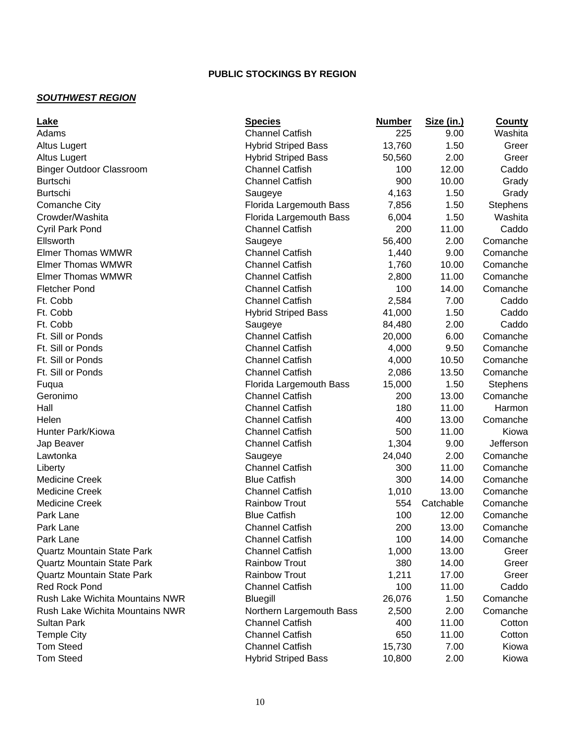## *SOUTHWEST REGION*

| Lake                                   | <b>Species</b>             | <b>Number</b> | Size (in.) | <b>County</b>   |
|----------------------------------------|----------------------------|---------------|------------|-----------------|
| Adams                                  | <b>Channel Catfish</b>     | 225           | 9.00       | Washita         |
| <b>Altus Lugert</b>                    | <b>Hybrid Striped Bass</b> | 13,760        | 1.50       | Greer           |
| <b>Altus Lugert</b>                    | <b>Hybrid Striped Bass</b> | 50,560        | 2.00       | Greer           |
| <b>Binger Outdoor Classroom</b>        | <b>Channel Catfish</b>     | 100           | 12.00      | Caddo           |
| <b>Burtschi</b>                        | <b>Channel Catfish</b>     | 900           | 10.00      | Grady           |
| <b>Burtschi</b>                        | Saugeye                    | 4,163         | 1.50       | Grady           |
| <b>Comanche City</b>                   | Florida Largemouth Bass    | 7,856         | 1.50       | <b>Stephens</b> |
| Crowder/Washita                        | Florida Largemouth Bass    | 6,004         | 1.50       | Washita         |
| Cyril Park Pond                        | <b>Channel Catfish</b>     | 200           | 11.00      | Caddo           |
| Ellsworth                              | Saugeye                    | 56,400        | 2.00       | Comanche        |
| <b>Elmer Thomas WMWR</b>               | <b>Channel Catfish</b>     | 1,440         | 9.00       | Comanche        |
| <b>Elmer Thomas WMWR</b>               | <b>Channel Catfish</b>     | 1,760         | 10.00      | Comanche        |
| Elmer Thomas WMWR                      | <b>Channel Catfish</b>     | 2,800         | 11.00      | Comanche        |
| <b>Fletcher Pond</b>                   | <b>Channel Catfish</b>     | 100           | 14.00      | Comanche        |
| Ft. Cobb                               | <b>Channel Catfish</b>     | 2,584         | 7.00       | Caddo           |
| Ft. Cobb                               | <b>Hybrid Striped Bass</b> | 41,000        | 1.50       | Caddo           |
| Ft. Cobb                               | Saugeye                    | 84,480        | 2.00       | Caddo           |
| Ft. Sill or Ponds                      | <b>Channel Catfish</b>     | 20,000        | 6.00       | Comanche        |
| Ft. Sill or Ponds                      | <b>Channel Catfish</b>     | 4,000         | 9.50       | Comanche        |
| Ft. Sill or Ponds                      | <b>Channel Catfish</b>     | 4,000         | 10.50      | Comanche        |
| Ft. Sill or Ponds                      | <b>Channel Catfish</b>     | 2,086         | 13.50      | Comanche        |
| Fuqua                                  | Florida Largemouth Bass    | 15,000        | 1.50       | Stephens        |
| Geronimo                               | <b>Channel Catfish</b>     | 200           | 13.00      | Comanche        |
| Hall                                   | <b>Channel Catfish</b>     | 180           | 11.00      | Harmon          |
| Helen                                  | <b>Channel Catfish</b>     | 400           | 13.00      | Comanche        |
| Hunter Park/Kiowa                      | <b>Channel Catfish</b>     | 500           | 11.00      | Kiowa           |
| Jap Beaver                             | <b>Channel Catfish</b>     | 1,304         | 9.00       | Jefferson       |
| Lawtonka                               | Saugeye                    | 24,040        | 2.00       | Comanche        |
| Liberty                                | <b>Channel Catfish</b>     | 300           | 11.00      | Comanche        |
| <b>Medicine Creek</b>                  | <b>Blue Catfish</b>        | 300           | 14.00      | Comanche        |
| <b>Medicine Creek</b>                  | <b>Channel Catfish</b>     | 1,010         | 13.00      | Comanche        |
| <b>Medicine Creek</b>                  | <b>Rainbow Trout</b>       | 554           | Catchable  | Comanche        |
| Park Lane                              | <b>Blue Catfish</b>        | 100           | 12.00      | Comanche        |
| Park Lane                              | <b>Channel Catfish</b>     | 200           | 13.00      | Comanche        |
| Park Lane                              | <b>Channel Catfish</b>     | 100           | 14.00      | Comanche        |
| <b>Quartz Mountain State Park</b>      | <b>Channel Catfish</b>     | 1,000         | 13.00      | Greer           |
| <b>Quartz Mountain State Park</b>      | <b>Rainbow Trout</b>       | 380           | 14.00      | Greer           |
| <b>Quartz Mountain State Park</b>      | <b>Rainbow Trout</b>       | 1,211         | 17.00      | Greer           |
| <b>Red Rock Pond</b>                   | <b>Channel Catfish</b>     | 100           | 11.00      | Caddo           |
| <b>Rush Lake Wichita Mountains NWR</b> | Bluegill                   | 26,076        | 1.50       | Comanche        |
| Rush Lake Wichita Mountains NWR        | Northern Largemouth Bass   | 2,500         | 2.00       | Comanche        |
| <b>Sultan Park</b>                     | <b>Channel Catfish</b>     | 400           | 11.00      | Cotton          |
| <b>Temple City</b>                     | <b>Channel Catfish</b>     | 650           | 11.00      | Cotton          |
| <b>Tom Steed</b>                       | <b>Channel Catfish</b>     | 15,730        | 7.00       | Kiowa           |
| <b>Tom Steed</b>                       | <b>Hybrid Striped Bass</b> | 10,800        | 2.00       | Kiowa           |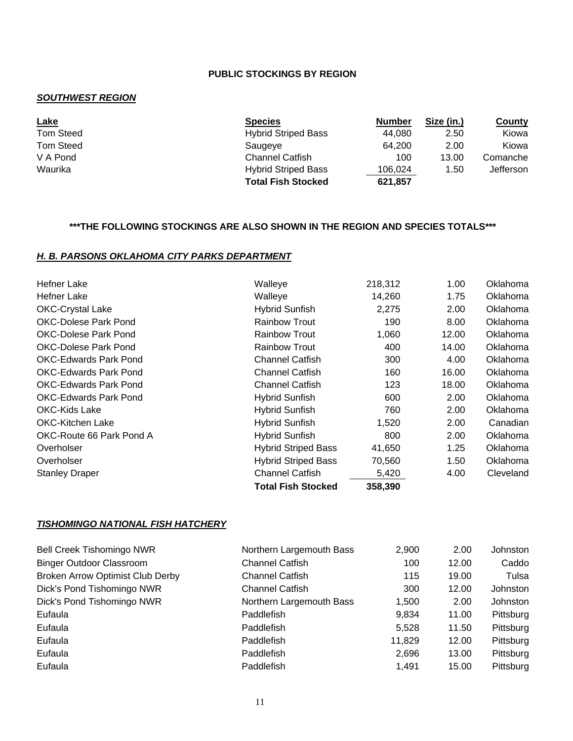#### *SOUTHWEST REGION*

| <u>Lake</u>      | <b>Species</b>             | <b>Number</b> | Size (in.) | County    |
|------------------|----------------------------|---------------|------------|-----------|
| <b>Tom Steed</b> | <b>Hybrid Striped Bass</b> | 44.080        | 2.50       | Kiowa     |
| <b>Tom Steed</b> | Saugeve                    | 64.200        | 2.00       | Kiowa     |
| V A Pond         | <b>Channel Catfish</b>     | 100           | 13.00      | Comanche  |
| Waurika          | <b>Hybrid Striped Bass</b> | 106.024       | 1.50       | Jefferson |
|                  | <b>Total Fish Stocked</b>  | 621,857       |            |           |

#### **\*\*\*THE FOLLOWING STOCKINGS ARE ALSO SHOWN IN THE REGION AND SPECIES TOTALS\*\*\***

#### *H. B. PARSONS OKLAHOMA CITY PARKS DEPARTMENT*

| Hefner Lake                  | Walleye                    | 218,312 | 1.00  | Oklahoma  |
|------------------------------|----------------------------|---------|-------|-----------|
| <b>Hefner Lake</b>           | Walleye                    | 14,260  | 1.75  | Oklahoma  |
| <b>OKC-Crystal Lake</b>      | <b>Hybrid Sunfish</b>      | 2,275   | 2.00  | Oklahoma  |
| <b>OKC-Dolese Park Pond</b>  | <b>Rainbow Trout</b>       | 190     | 8.00  | Oklahoma  |
| <b>OKC-Dolese Park Pond</b>  | <b>Rainbow Trout</b>       | 1,060   | 12.00 | Oklahoma  |
| <b>OKC-Dolese Park Pond</b>  | <b>Rainbow Trout</b>       | 400     | 14.00 | Oklahoma  |
| <b>OKC-Edwards Park Pond</b> | <b>Channel Catfish</b>     | 300     | 4.00  | Oklahoma  |
| <b>OKC-Edwards Park Pond</b> | <b>Channel Catfish</b>     | 160     | 16.00 | Oklahoma  |
| <b>OKC-Edwards Park Pond</b> | <b>Channel Catfish</b>     | 123     | 18.00 | Oklahoma  |
| <b>OKC-Edwards Park Pond</b> | <b>Hybrid Sunfish</b>      | 600     | 2.00  | Oklahoma  |
| OKC-Kids Lake                | <b>Hybrid Sunfish</b>      | 760     | 2.00  | Oklahoma  |
| <b>OKC-Kitchen Lake</b>      | <b>Hybrid Sunfish</b>      | 1,520   | 2.00  | Canadian  |
| OKC-Route 66 Park Pond A     | <b>Hybrid Sunfish</b>      | 800     | 2.00  | Oklahoma  |
| Overholser                   | <b>Hybrid Striped Bass</b> | 41,650  | 1.25  | Oklahoma  |
| Overholser                   | <b>Hybrid Striped Bass</b> | 70,560  | 1.50  | Oklahoma  |
| <b>Stanley Draper</b>        | <b>Channel Catfish</b>     | 5,420   | 4.00  | Cleveland |
|                              | Total Fish Stocked         | 358,390 |       |           |

#### *TISHOMINGO NATIONAL FISH HATCHERY*

| <b>Bell Creek Tishomingo NWR</b>        | Northern Largemouth Bass | 2,900  | 2.00  | Johnston  |
|-----------------------------------------|--------------------------|--------|-------|-----------|
| <b>Binger Outdoor Classroom</b>         | <b>Channel Catfish</b>   | 100    | 12.00 | Caddo     |
| <b>Broken Arrow Optimist Club Derby</b> | <b>Channel Catfish</b>   | 115    | 19.00 | Tulsa     |
| Dick's Pond Tishomingo NWR              | <b>Channel Catfish</b>   | 300    | 12.00 | Johnston  |
| Dick's Pond Tishomingo NWR              | Northern Largemouth Bass | 1,500  | 2.00  | Johnston  |
| Eufaula                                 | Paddlefish               | 9,834  | 11.00 | Pittsburg |
| Eufaula                                 | Paddlefish               | 5.528  | 11.50 | Pittsburg |
| Eufaula                                 | Paddlefish               | 11,829 | 12.00 | Pittsburg |
| Eufaula                                 | Paddlefish               | 2,696  | 13.00 | Pittsburg |
| Eufaula                                 | Paddlefish               | 1,491  | 15.00 | Pittsburg |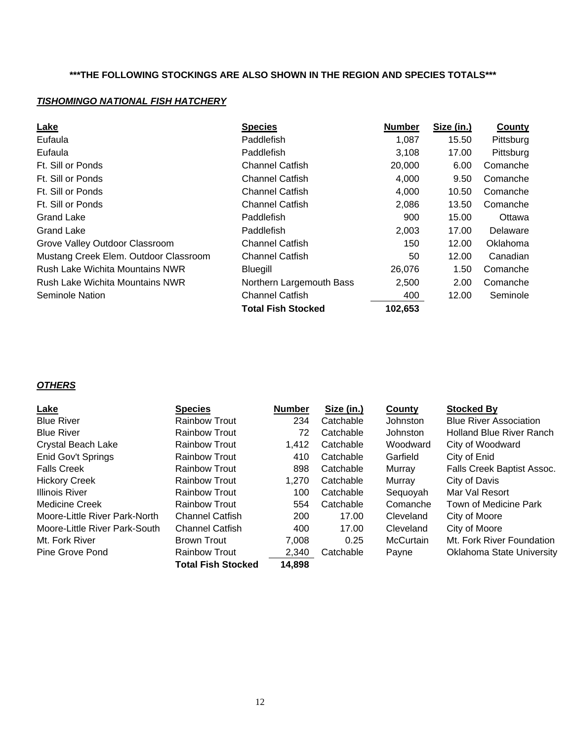#### **\*\*\*THE FOLLOWING STOCKINGS ARE ALSO SHOWN IN THE REGION AND SPECIES TOTALS\*\*\***

## *TISHOMINGO NATIONAL FISH HATCHERY*

| Lake                                  | <b>Species</b>            | <b>Number</b> | Size (in.) | County    |
|---------------------------------------|---------------------------|---------------|------------|-----------|
| Eufaula                               | Paddlefish                | 1,087         | 15.50      | Pittsburg |
| Eufaula                               | Paddlefish                | 3,108         | 17.00      | Pittsburg |
| Ft. Sill or Ponds                     | <b>Channel Catfish</b>    | 20,000        | 6.00       | Comanche  |
| Ft. Sill or Ponds                     | <b>Channel Catfish</b>    | 4,000         | 9.50       | Comanche  |
| Ft. Sill or Ponds                     | <b>Channel Catfish</b>    | 4,000         | 10.50      | Comanche  |
| Ft. Sill or Ponds                     | <b>Channel Catfish</b>    | 2,086         | 13.50      | Comanche  |
| <b>Grand Lake</b>                     | Paddlefish                | 900           | 15.00      | Ottawa    |
| <b>Grand Lake</b>                     | Paddlefish                | 2,003         | 17.00      | Delaware  |
| Grove Valley Outdoor Classroom        | <b>Channel Catfish</b>    | 150           | 12.00      | Oklahoma  |
| Mustang Creek Elem. Outdoor Classroom | <b>Channel Catfish</b>    | 50            | 12.00      | Canadian  |
| Rush Lake Wichita Mountains NWR       | Bluegill                  | 26,076        | 1.50       | Comanche  |
| Rush Lake Wichita Mountains NWR       | Northern Largemouth Bass  | 2,500         | 2.00       | Comanche  |
| <b>Seminole Nation</b>                | <b>Channel Catfish</b>    | 400           | 12.00      | Seminole  |
|                                       | <b>Total Fish Stocked</b> | 102,653       |            |           |

## *OTHERS*

| <b>Lake</b>                   | <b>Species</b>            | <b>Number</b> | Size (in.) | County           | <b>Stocked By</b>                |
|-------------------------------|---------------------------|---------------|------------|------------------|----------------------------------|
| <b>Blue River</b>             | <b>Rainbow Trout</b>      | 234           | Catchable  | Johnston         | <b>Blue River Association</b>    |
| <b>Blue River</b>             | <b>Rainbow Trout</b>      | 72            | Catchable  | <b>Johnston</b>  | Holland Blue River Ranch         |
| <b>Crystal Beach Lake</b>     | <b>Rainbow Trout</b>      | 1,412         | Catchable  | Woodward         | City of Woodward                 |
| Enid Gov't Springs            | <b>Rainbow Trout</b>      | 410           | Catchable  | Garfield         | City of Enid                     |
| <b>Falls Creek</b>            | <b>Rainbow Trout</b>      | 898           | Catchable  | Murray           | Falls Creek Baptist Assoc.       |
| <b>Hickory Creek</b>          | <b>Rainbow Trout</b>      | 1.270         | Catchable  | Murray           | City of Davis                    |
| <b>Illinois River</b>         | <b>Rainbow Trout</b>      | 100           | Catchable  | Sequoyah         | Mar Val Resort                   |
| Medicine Creek                | <b>Rainbow Trout</b>      | 554           | Catchable  | Comanche         | Town of Medicine Park            |
| Moore-Little River Park-North | <b>Channel Catfish</b>    | 200           | 17.00      | Cleveland        | City of Moore                    |
| Moore-Little River Park-South | <b>Channel Catfish</b>    | 400           | 17.00      | Cleveland        | City of Moore                    |
| Mt. Fork River                | Brown Trout               | 7.008         | 0.25       | <b>McCurtain</b> | Mt. Fork River Foundation        |
| Pine Grove Pond               | <b>Rainbow Trout</b>      | 2,340         | Catchable  | Payne            | <b>Oklahoma State University</b> |
|                               | <b>Total Fish Stocked</b> | 14,898        |            |                  |                                  |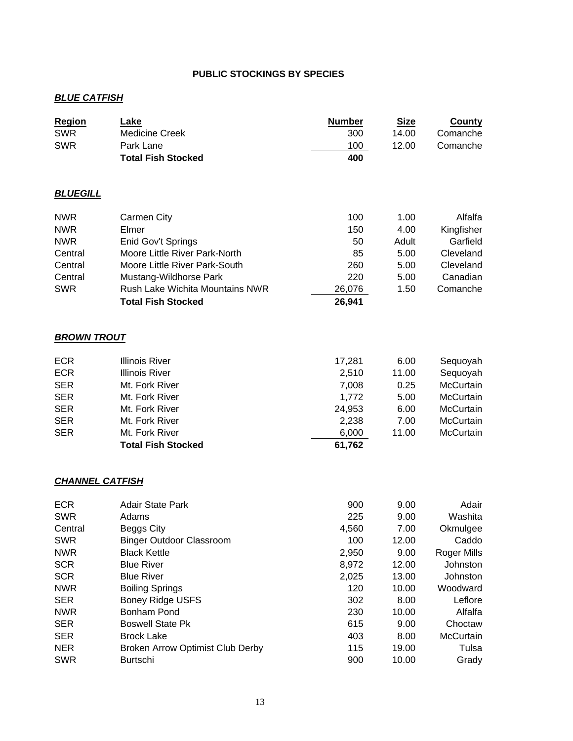#### *BLUE CATFISH*

| <b>Region</b>          | Lake                             | <b>Number</b> | <b>Size</b> | <b>County</b>    |
|------------------------|----------------------------------|---------------|-------------|------------------|
| <b>SWR</b>             | <b>Medicine Creek</b>            | 300           | 14.00       | Comanche         |
| <b>SWR</b>             | Park Lane                        | 100           | 12.00       | Comanche         |
|                        | <b>Total Fish Stocked</b>        | 400           |             |                  |
| <b>BLUEGILL</b>        |                                  |               |             |                  |
| <b>NWR</b>             | <b>Carmen City</b>               | 100           | 1.00        | Alfalfa          |
| <b>NWR</b>             | Elmer                            | 150           | 4.00        | Kingfisher       |
| <b>NWR</b>             | Enid Gov't Springs               | 50            | Adult       | Garfield         |
| Central                | Moore Little River Park-North    | 85            | 5.00        | Cleveland        |
| Central                | Moore Little River Park-South    | 260           | 5.00        | Cleveland        |
| Central                | Mustang-Wildhorse Park           | 220           | 5.00        | Canadian         |
| <b>SWR</b>             | Rush Lake Wichita Mountains NWR  | 26,076        | 1.50        | Comanche         |
|                        | <b>Total Fish Stocked</b>        | 26,941        |             |                  |
| <b>BROWN TROUT</b>     |                                  |               |             |                  |
| <b>ECR</b>             | <b>Illinois River</b>            | 17,281        | 6.00        | Sequoyah         |
| <b>ECR</b>             | <b>Illinois River</b>            | 2,510         | 11.00       | Sequoyah         |
| <b>SER</b>             | Mt. Fork River                   | 7,008         | 0.25        | McCurtain        |
| <b>SER</b>             | Mt. Fork River                   | 1,772         | 5.00        | McCurtain        |
| <b>SER</b>             | Mt. Fork River                   | 24,953        | 6.00        | McCurtain        |
| <b>SER</b>             | Mt. Fork River                   | 2,238         | 7.00        | <b>McCurtain</b> |
| <b>SER</b>             | Mt. Fork River                   | 6,000         | 11.00       | <b>McCurtain</b> |
|                        | <b>Total Fish Stocked</b>        | 61,762        |             |                  |
| <b>CHANNEL CATFISH</b> |                                  |               |             |                  |
| <b>ECR</b>             | <b>Adair State Park</b>          | 900           | 9.00        | Adair            |
| <b>SWR</b>             | Adams                            | 225           | 9.00        | Washita          |
| Central                | Beggs City                       | 4,560         | 7.00        | Okmulgee         |
| <b>SWR</b>             | <b>Binger Outdoor Classroom</b>  | 100           | 12.00       | Caddo            |
| <b>NWR</b>             | <b>Black Kettle</b>              | 2,950         | 9.00        | Roger Mills      |
| <b>SCR</b>             | <b>Blue River</b>                | 8,972         | 12.00       | Johnston         |
| <b>SCR</b>             | <b>Blue River</b>                | 2,025         | 13.00       | Johnston         |
| <b>NWR</b>             | <b>Boiling Springs</b>           | 120           | 10.00       | Woodward         |
| <b>SER</b>             | <b>Boney Ridge USFS</b>          | 302           | 8.00        | Leflore          |
| <b>NWR</b>             | <b>Bonham Pond</b>               | 230           | 10.00       | Alfalfa          |
| <b>SER</b>             | <b>Boswell State Pk</b>          | 615           | 9.00        | Choctaw          |
| <b>SER</b>             | <b>Brock Lake</b>                | 403           | 8.00        | McCurtain        |
| <b>NER</b>             | Broken Arrow Optimist Club Derby | 115           | 19.00       | Tulsa            |
| <b>SWR</b>             | <b>Burtschi</b>                  | 900           | 10.00       | Grady            |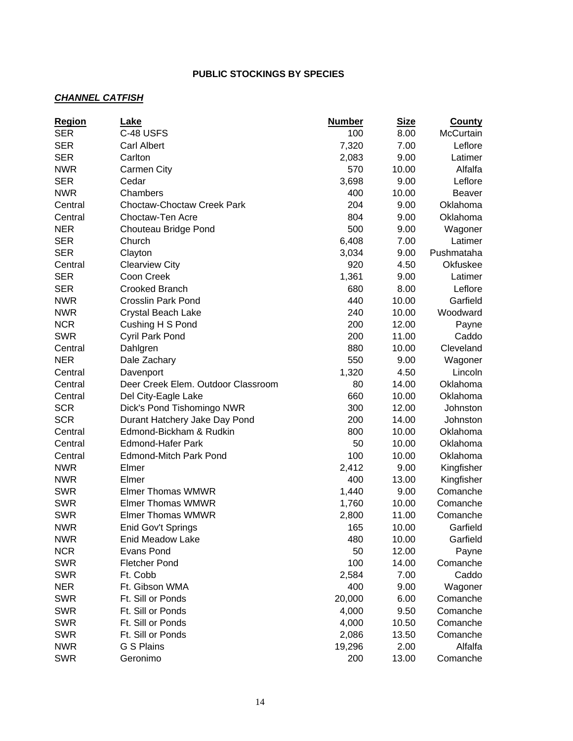## *CHANNEL CATFISH*

| C-48 USFS<br><b>SER</b><br>100<br>8.00<br><b>McCurtain</b><br>7,320<br>Leflore<br><b>SER</b><br><b>Carl Albert</b><br>7.00<br><b>SER</b><br>9.00<br>Carlton<br>Latimer<br>2,083<br><b>NWR</b><br>570<br>Alfalfa<br>10.00<br><b>Carmen City</b><br><b>SER</b><br>3,698<br>Leflore<br>Cedar<br>9.00<br><b>NWR</b><br>400<br>Chambers<br>10.00<br><b>Beaver</b><br>204<br><b>Choctaw-Choctaw Creek Park</b><br>9.00<br>Oklahoma<br>Central<br>804<br>Choctaw-Ten Acre<br>9.00<br>Oklahoma<br>Central<br>500<br><b>NER</b><br>9.00<br>Chouteau Bridge Pond<br>Wagoner |
|-------------------------------------------------------------------------------------------------------------------------------------------------------------------------------------------------------------------------------------------------------------------------------------------------------------------------------------------------------------------------------------------------------------------------------------------------------------------------------------------------------------------------------------------------------------------|
|                                                                                                                                                                                                                                                                                                                                                                                                                                                                                                                                                                   |
|                                                                                                                                                                                                                                                                                                                                                                                                                                                                                                                                                                   |
|                                                                                                                                                                                                                                                                                                                                                                                                                                                                                                                                                                   |
|                                                                                                                                                                                                                                                                                                                                                                                                                                                                                                                                                                   |
|                                                                                                                                                                                                                                                                                                                                                                                                                                                                                                                                                                   |
|                                                                                                                                                                                                                                                                                                                                                                                                                                                                                                                                                                   |
|                                                                                                                                                                                                                                                                                                                                                                                                                                                                                                                                                                   |
|                                                                                                                                                                                                                                                                                                                                                                                                                                                                                                                                                                   |
|                                                                                                                                                                                                                                                                                                                                                                                                                                                                                                                                                                   |
| <b>SER</b><br>Church<br>6,408<br>7.00<br>Latimer                                                                                                                                                                                                                                                                                                                                                                                                                                                                                                                  |
| <b>SER</b><br>9.00<br>3,034<br>Pushmataha<br>Clayton                                                                                                                                                                                                                                                                                                                                                                                                                                                                                                              |
| 920<br><b>Clearview City</b><br>4.50<br>Okfuskee<br>Central                                                                                                                                                                                                                                                                                                                                                                                                                                                                                                       |
| <b>SER</b><br>Coon Creek<br>1,361<br>9.00<br>Latimer                                                                                                                                                                                                                                                                                                                                                                                                                                                                                                              |
| <b>SER</b><br>680<br>Crooked Branch<br>8.00<br>Leflore                                                                                                                                                                                                                                                                                                                                                                                                                                                                                                            |
| Crosslin Park Pond<br>440<br>Garfield<br><b>NWR</b><br>10.00                                                                                                                                                                                                                                                                                                                                                                                                                                                                                                      |
| <b>NWR</b><br>240<br>10.00<br>Woodward<br>Crystal Beach Lake                                                                                                                                                                                                                                                                                                                                                                                                                                                                                                      |
| <b>NCR</b><br>200<br>Cushing H S Pond<br>12.00<br>Payne                                                                                                                                                                                                                                                                                                                                                                                                                                                                                                           |
| <b>SWR</b><br>200<br>Cyril Park Pond<br>11.00<br>Caddo                                                                                                                                                                                                                                                                                                                                                                                                                                                                                                            |
| 880<br>10.00<br>Cleveland<br>Central<br>Dahlgren                                                                                                                                                                                                                                                                                                                                                                                                                                                                                                                  |
| <b>NER</b><br>550<br>9.00<br>Wagoner<br>Dale Zachary                                                                                                                                                                                                                                                                                                                                                                                                                                                                                                              |
| 1,320<br>4.50<br>Lincoln<br>Central<br>Davenport                                                                                                                                                                                                                                                                                                                                                                                                                                                                                                                  |
| Deer Creek Elem. Outdoor Classroom<br>80<br>14.00<br>Oklahoma<br>Central                                                                                                                                                                                                                                                                                                                                                                                                                                                                                          |
| 660<br>10.00<br>Oklahoma<br>Central<br>Del City-Eagle Lake                                                                                                                                                                                                                                                                                                                                                                                                                                                                                                        |
| <b>SCR</b><br>300<br>12.00<br>Dick's Pond Tishomingo NWR<br>Johnston                                                                                                                                                                                                                                                                                                                                                                                                                                                                                              |
| <b>SCR</b><br>200<br>Durant Hatchery Jake Day Pond<br>14.00<br>Johnston                                                                                                                                                                                                                                                                                                                                                                                                                                                                                           |
| 800<br>Edmond-Bickham & Rudkin<br>10.00<br>Oklahoma<br>Central                                                                                                                                                                                                                                                                                                                                                                                                                                                                                                    |
| Central<br><b>Edmond-Hafer Park</b><br>50<br>10.00<br>Oklahoma                                                                                                                                                                                                                                                                                                                                                                                                                                                                                                    |
| 100<br><b>Edmond-Mitch Park Pond</b><br>10.00<br>Oklahoma<br>Central                                                                                                                                                                                                                                                                                                                                                                                                                                                                                              |
| <b>NWR</b><br>Elmer<br>2,412<br>9.00<br>Kingfisher                                                                                                                                                                                                                                                                                                                                                                                                                                                                                                                |
| <b>NWR</b><br>400<br>13.00<br>Kingfisher<br>Elmer                                                                                                                                                                                                                                                                                                                                                                                                                                                                                                                 |
| <b>SWR</b><br><b>Elmer Thomas WMWR</b><br>1,440<br>9.00<br>Comanche                                                                                                                                                                                                                                                                                                                                                                                                                                                                                               |
| <b>SWR</b><br><b>Elmer Thomas WMWR</b><br>1,760<br>10.00<br>Comanche                                                                                                                                                                                                                                                                                                                                                                                                                                                                                              |
| <b>SWR</b><br><b>Elmer Thomas WMWR</b><br>2,800<br>11.00<br>Comanche                                                                                                                                                                                                                                                                                                                                                                                                                                                                                              |
| <b>NWR</b><br>Garfield<br>165<br>10.00<br>Enid Gov't Springs                                                                                                                                                                                                                                                                                                                                                                                                                                                                                                      |
| <b>NWR</b><br>Enid Meadow Lake<br>480<br>10.00<br>Garfield                                                                                                                                                                                                                                                                                                                                                                                                                                                                                                        |
| <b>NCR</b><br><b>Evans Pond</b><br>50<br>12.00<br>Payne                                                                                                                                                                                                                                                                                                                                                                                                                                                                                                           |
| <b>SWR</b><br>100<br><b>Fletcher Pond</b><br>14.00<br>Comanche                                                                                                                                                                                                                                                                                                                                                                                                                                                                                                    |
| <b>SWR</b><br>Ft. Cobb<br>2,584<br>7.00<br>Caddo                                                                                                                                                                                                                                                                                                                                                                                                                                                                                                                  |
| 400<br><b>NER</b><br>Ft. Gibson WMA<br>9.00<br>Wagoner                                                                                                                                                                                                                                                                                                                                                                                                                                                                                                            |
| 20,000<br><b>SWR</b><br>Ft. Sill or Ponds<br>6.00<br>Comanche                                                                                                                                                                                                                                                                                                                                                                                                                                                                                                     |
| <b>SWR</b><br>Ft. Sill or Ponds<br>4,000<br>9.50<br>Comanche                                                                                                                                                                                                                                                                                                                                                                                                                                                                                                      |
| <b>SWR</b><br>Ft. Sill or Ponds<br>4,000<br>10.50<br>Comanche                                                                                                                                                                                                                                                                                                                                                                                                                                                                                                     |
| <b>SWR</b><br>Ft. Sill or Ponds<br>13.50<br>Comanche<br>2,086                                                                                                                                                                                                                                                                                                                                                                                                                                                                                                     |
| <b>NWR</b><br>Alfalfa<br>G S Plains<br>19,296<br>2.00                                                                                                                                                                                                                                                                                                                                                                                                                                                                                                             |
| <b>SWR</b><br>200<br>Geronimo<br>13.00<br>Comanche                                                                                                                                                                                                                                                                                                                                                                                                                                                                                                                |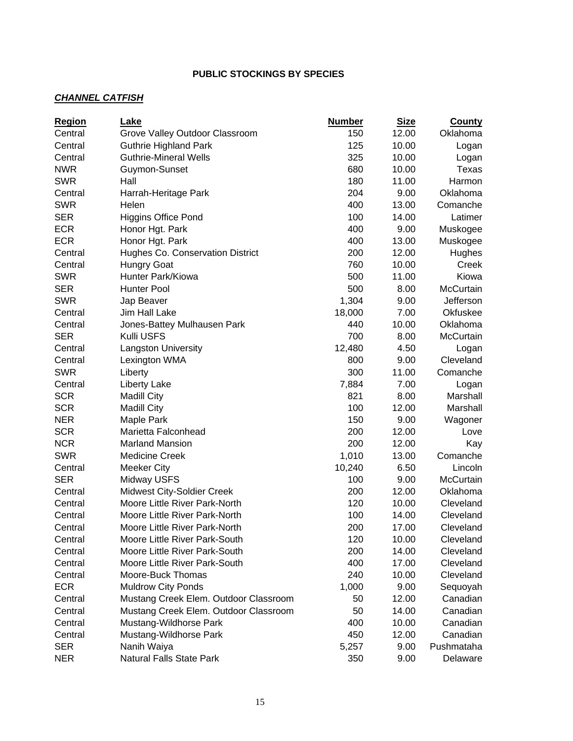## *CHANNEL CATFISH*

| <b>Region</b> | Lake                                                           | <b>Number</b> | <b>Size</b>    | <b>County</b>          |
|---------------|----------------------------------------------------------------|---------------|----------------|------------------------|
| Central       | Grove Valley Outdoor Classroom                                 | 150           | 12.00          | Oklahoma               |
| Central       | <b>Guthrie Highland Park</b>                                   | 125           | 10.00          | Logan                  |
| Central       | <b>Guthrie-Mineral Wells</b>                                   | 325           | 10.00          | Logan                  |
| <b>NWR</b>    | Guymon-Sunset                                                  | 680           | 10.00          | Texas                  |
| <b>SWR</b>    | Hall                                                           | 180           | 11.00          | Harmon                 |
| Central       | Harrah-Heritage Park                                           | 204           | 9.00           | Oklahoma               |
| <b>SWR</b>    | Helen                                                          | 400           | 13.00          | Comanche               |
| <b>SER</b>    | <b>Higgins Office Pond</b>                                     | 100           | 14.00          | Latimer                |
| <b>ECR</b>    | Honor Hgt. Park                                                | 400           | 9.00           | Muskogee               |
| <b>ECR</b>    | Honor Hgt. Park                                                | 400           | 13.00          | Muskogee               |
| Central       | Hughes Co. Conservation District                               | 200           | 12.00          | Hughes                 |
| Central       | <b>Hungry Goat</b>                                             | 760           | 10.00          | Creek                  |
| <b>SWR</b>    | Hunter Park/Kiowa                                              | 500           | 11.00          | Kiowa                  |
| <b>SER</b>    | <b>Hunter Pool</b>                                             | 500           | 8.00           | McCurtain              |
| <b>SWR</b>    | Jap Beaver                                                     | 1,304         | 9.00           | Jefferson              |
| Central       | Jim Hall Lake                                                  | 18,000        | 7.00           | Okfuskee               |
| Central       | Jones-Battey Mulhausen Park                                    | 440           | 10.00          | Oklahoma               |
| <b>SER</b>    | Kulli USFS                                                     | 700           | 8.00           | McCurtain              |
| Central       | <b>Langston University</b>                                     | 12,480        | 4.50           | Logan                  |
| Central       | Lexington WMA                                                  | 800           | 9.00           | Cleveland              |
| <b>SWR</b>    | Liberty                                                        | 300           | 11.00          | Comanche               |
| Central       | Liberty Lake                                                   | 7,884         | 7.00           | Logan                  |
| <b>SCR</b>    | <b>Madill City</b>                                             | 821           | 8.00           | Marshall               |
| <b>SCR</b>    | <b>Madill City</b>                                             | 100           | 12.00          | Marshall               |
| <b>NER</b>    | Maple Park                                                     | 150           | 9.00           | Wagoner                |
| <b>SCR</b>    | Marietta Falconhead                                            | 200           | 12.00          | Love                   |
| <b>NCR</b>    | <b>Marland Mansion</b>                                         | 200           | 12.00          | Kay                    |
| <b>SWR</b>    | <b>Medicine Creek</b>                                          | 1,010         | 13.00          | Comanche               |
| Central       |                                                                |               | 6.50           | Lincoln                |
| <b>SER</b>    | <b>Meeker City</b>                                             | 10,240<br>100 | 9.00           | McCurtain              |
|               | Midway USFS                                                    |               |                |                        |
| Central       | Midwest City-Soldier Creek                                     | 200<br>120    | 12.00<br>10.00 | Oklahoma               |
| Central       | Moore Little River Park-North                                  | 100           |                | Cleveland              |
| Central       | Moore Little River Park-North                                  |               | 14.00          | Cleveland<br>Cleveland |
| Central       | Moore Little River Park-North<br>Moore Little River Park-South | 200           | 17.00          |                        |
| Central       |                                                                | 120           | 10.00          | Cleveland              |
| Central       | Moore Little River Park-South                                  | 200           | 14.00          | Cleveland              |
| Central       | Moore Little River Park-South                                  | 400           | 17.00          | Cleveland              |
| Central       | Moore-Buck Thomas                                              | 240           | 10.00          | Cleveland              |
| <b>ECR</b>    | <b>Muldrow City Ponds</b>                                      | 1,000         | 9.00           | Sequoyah               |
| Central       | Mustang Creek Elem. Outdoor Classroom                          | 50            | 12.00          | Canadian               |
| Central       | Mustang Creek Elem. Outdoor Classroom                          | 50            | 14.00          | Canadian               |
| Central       | Mustang-Wildhorse Park                                         | 400           | 10.00          | Canadian               |
| Central       | Mustang-Wildhorse Park                                         | 450           | 12.00          | Canadian               |
| <b>SER</b>    | Nanih Waiya                                                    | 5,257         | 9.00           | Pushmataha             |
| <b>NER</b>    | Natural Falls State Park                                       | 350           | 9.00           | Delaware               |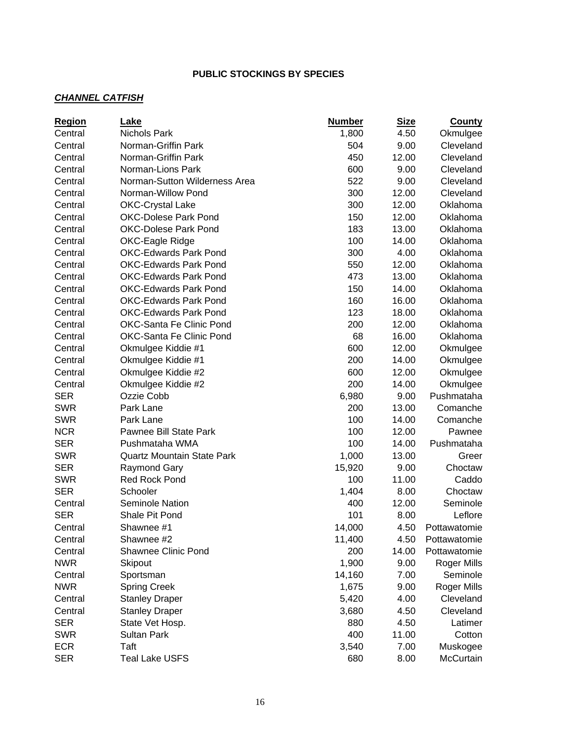## *CHANNEL CATFISH*

| <b>Region</b> | Lake                              | <b>Number</b> | <b>Size</b> | <b>County</b>      |
|---------------|-----------------------------------|---------------|-------------|--------------------|
| Central       | <b>Nichols Park</b>               | 1,800         | 4.50        | Okmulgee           |
| Central       | Norman-Griffin Park               | 504           | 9.00        | Cleveland          |
| Central       | Norman-Griffin Park               | 450           | 12.00       | Cleveland          |
| Central       | Norman-Lions Park                 | 600           | 9.00        | Cleveland          |
| Central       | Norman-Sutton Wilderness Area     | 522           | 9.00        | Cleveland          |
| Central       | Norman-Willow Pond                | 300           | 12.00       | Cleveland          |
| Central       | <b>OKC-Crystal Lake</b>           | 300           | 12.00       | Oklahoma           |
| Central       | <b>OKC-Dolese Park Pond</b>       | 150           | 12.00       | Oklahoma           |
| Central       | <b>OKC-Dolese Park Pond</b>       | 183           | 13.00       | Oklahoma           |
| Central       | OKC-Eagle Ridge                   | 100           | 14.00       | Oklahoma           |
| Central       | <b>OKC-Edwards Park Pond</b>      | 300           | 4.00        | Oklahoma           |
| Central       | <b>OKC-Edwards Park Pond</b>      | 550           | 12.00       | Oklahoma           |
| Central       | <b>OKC-Edwards Park Pond</b>      | 473           | 13.00       | Oklahoma           |
| Central       | <b>OKC-Edwards Park Pond</b>      | 150           | 14.00       | Oklahoma           |
| Central       | <b>OKC-Edwards Park Pond</b>      | 160           | 16.00       | Oklahoma           |
| Central       | <b>OKC-Edwards Park Pond</b>      | 123           | 18.00       | Oklahoma           |
| Central       | OKC-Santa Fe Clinic Pond          | 200           | 12.00       | Oklahoma           |
| Central       | OKC-Santa Fe Clinic Pond          | 68            | 16.00       | Oklahoma           |
| Central       | Okmulgee Kiddie #1                | 600           | 12.00       | Okmulgee           |
| Central       | Okmulgee Kiddie #1                | 200           | 14.00       | Okmulgee           |
| Central       | Okmulgee Kiddie #2                | 600           | 12.00       | Okmulgee           |
| Central       | Okmulgee Kiddie #2                | 200           | 14.00       | Okmulgee           |
| <b>SER</b>    | Ozzie Cobb                        | 6,980         | 9.00        | Pushmataha         |
| <b>SWR</b>    | Park Lane                         | 200           | 13.00       | Comanche           |
| <b>SWR</b>    | Park Lane                         | 100           | 14.00       | Comanche           |
| <b>NCR</b>    | Pawnee Bill State Park            | 100           | 12.00       | Pawnee             |
| <b>SER</b>    | Pushmataha WMA                    | 100           | 14.00       | Pushmataha         |
| <b>SWR</b>    | <b>Quartz Mountain State Park</b> | 1,000         | 13.00       | Greer              |
| <b>SER</b>    | Raymond Gary                      | 15,920        | 9.00        | Choctaw            |
| <b>SWR</b>    | <b>Red Rock Pond</b>              | 100           | 11.00       | Caddo              |
| <b>SER</b>    | Schooler                          | 1,404         | 8.00        | Choctaw            |
| Central       | <b>Seminole Nation</b>            | 400           | 12.00       | Seminole           |
| <b>SER</b>    | Shale Pit Pond                    | 101           | 8.00        | Leflore            |
| Central       | Shawnee #1                        | 14,000        | 4.50        | Pottawatomie       |
| Central       | Shawnee #2                        | 11,400        | 4.50        | Pottawatomie       |
| Central       | Shawnee Clinic Pond               | 200           | 14.00       | Pottawatomie       |
| <b>NWR</b>    | Skipout                           | 1,900         | 9.00        | Roger Mills        |
| Central       | Sportsman                         | 14,160        | 7.00        | Seminole           |
| <b>NWR</b>    | <b>Spring Creek</b>               | 1,675         | 9.00        | <b>Roger Mills</b> |
| Central       | <b>Stanley Draper</b>             | 5,420         | 4.00        | Cleveland          |
| Central       | <b>Stanley Draper</b>             | 3,680         | 4.50        | Cleveland          |
| <b>SER</b>    | State Vet Hosp.                   | 880           | 4.50        | Latimer            |
| <b>SWR</b>    | <b>Sultan Park</b>                | 400           | 11.00       | Cotton             |
| <b>ECR</b>    | Taft                              | 3,540         | 7.00        | Muskogee           |
| <b>SER</b>    | <b>Teal Lake USFS</b>             | 680           | 8.00        | McCurtain          |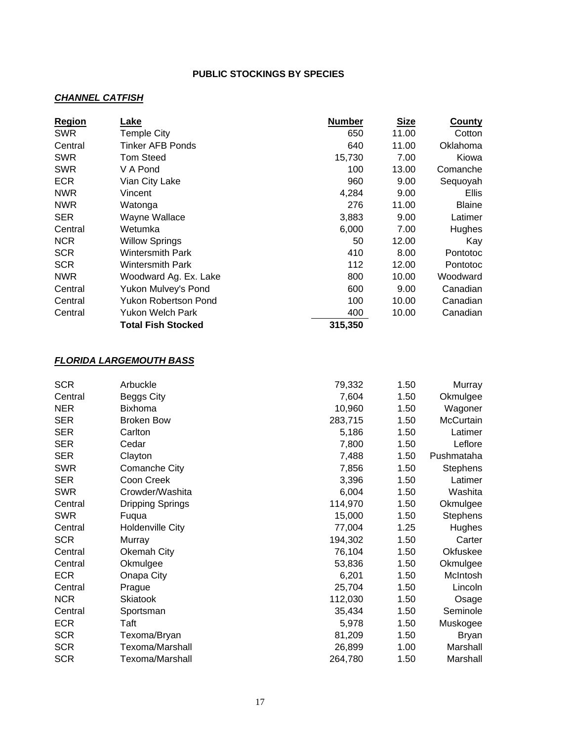#### *CHANNEL CATFISH*

| <b>Region</b> | Lake                      | <b>Number</b> | <b>Size</b> | <b>County</b> |
|---------------|---------------------------|---------------|-------------|---------------|
| <b>SWR</b>    | Temple City               | 650           | 11.00       | Cotton        |
| Central       | Tinker AFB Ponds          | 640           | 11.00       | Oklahoma      |
| <b>SWR</b>    | Tom Steed                 | 15,730        | 7.00        | Kiowa         |
| <b>SWR</b>    | V A Pond                  | 100           | 13.00       | Comanche      |
| <b>ECR</b>    | Vian City Lake            | 960           | 9.00        | Sequoyah      |
| <b>NWR</b>    | Vincent                   | 4,284         | 9.00        | Ellis         |
| <b>NWR</b>    | Watonga                   | 276           | 11.00       | <b>Blaine</b> |
| <b>SER</b>    | Wayne Wallace             | 3,883         | 9.00        | Latimer       |
| Central       | Wetumka                   | 6,000         | 7.00        | Hughes        |
| <b>NCR</b>    | <b>Willow Springs</b>     | 50            | 12.00       | Kay           |
| <b>SCR</b>    | <b>Wintersmith Park</b>   | 410           | 8.00        | Pontotoc      |
| <b>SCR</b>    | <b>Wintersmith Park</b>   | 112           | 12.00       | Pontotoc      |
| <b>NWR</b>    | Woodward Ag. Ex. Lake     | 800           | 10.00       | Woodward      |
| Central       | Yukon Mulvey's Pond       | 600           | 9.00        | Canadian      |
| Central       | Yukon Robertson Pond      | 100           | 10.00       | Canadian      |
| Central       | Yukon Welch Park          | 400           | 10.00       | Canadian      |
|               | <b>Total Fish Stocked</b> | 315,350       |             |               |

## *FLORIDA LARGEMOUTH BASS*

| <b>SCR</b> | Arbuckle                | 79,332  | 1.50 | Murray          |
|------------|-------------------------|---------|------|-----------------|
| Central    | Beggs City              | 7,604   | 1.50 | Okmulgee        |
| <b>NER</b> | <b>Bixhoma</b>          | 10,960  | 1.50 | Wagoner         |
| <b>SER</b> | <b>Broken Bow</b>       | 283,715 | 1.50 | McCurtain       |
| <b>SER</b> | Carlton                 | 5,186   | 1.50 | Latimer         |
| <b>SER</b> | Cedar                   | 7,800   | 1.50 | Leflore         |
| <b>SER</b> | Clayton                 | 7,488   | 1.50 | Pushmataha      |
| <b>SWR</b> | Comanche City           | 7,856   | 1.50 | <b>Stephens</b> |
| <b>SER</b> | Coon Creek              | 3,396   | 1.50 | Latimer         |
| <b>SWR</b> | Crowder/Washita         | 6,004   | 1.50 | Washita         |
| Central    | <b>Dripping Springs</b> | 114,970 | 1.50 | Okmulgee        |
| <b>SWR</b> | Fuqua                   | 15,000  | 1.50 | <b>Stephens</b> |
| Central    | <b>Holdenville City</b> | 77,004  | 1.25 | Hughes          |
| <b>SCR</b> | Murray                  | 194,302 | 1.50 | Carter          |
| Central    | Okemah City             | 76,104  | 1.50 | Okfuskee        |
| Central    | Okmulgee                | 53,836  | 1.50 | Okmulgee        |
| <b>ECR</b> | Onapa City              | 6,201   | 1.50 | McIntosh        |
| Central    | Prague                  | 25,704  | 1.50 | Lincoln         |
| <b>NCR</b> | Skiatook                | 112,030 | 1.50 | Osage           |
| Central    | Sportsman               | 35,434  | 1.50 | Seminole        |
| <b>ECR</b> | Taft                    | 5,978   | 1.50 | Muskogee        |
| <b>SCR</b> | Texoma/Bryan            | 81,209  | 1.50 | <b>Bryan</b>    |
| <b>SCR</b> | Texoma/Marshall         | 26,899  | 1.00 | Marshall        |
| <b>SCR</b> | Texoma/Marshall         | 264,780 | 1.50 | Marshall        |
|            |                         |         |      |                 |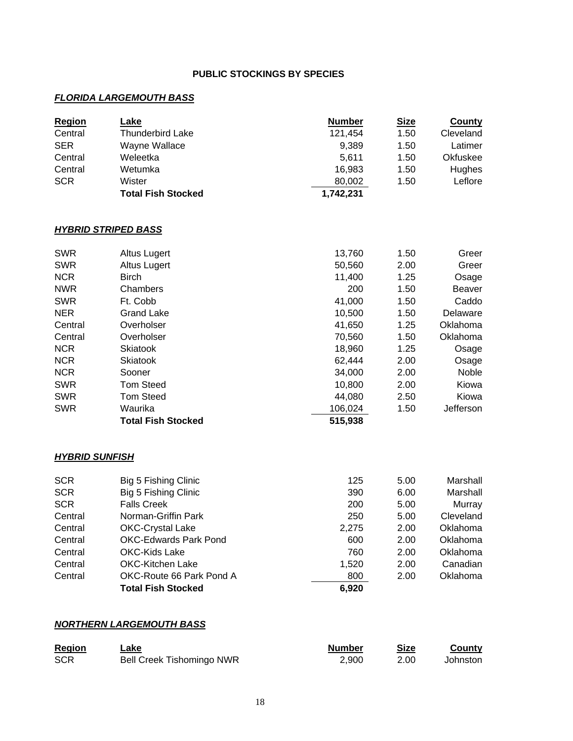## *FLORIDA LARGEMOUTH BASS*

| <b>Region</b> | Lake                      | <b>Number</b> | <b>Size</b> | County    |
|---------------|---------------------------|---------------|-------------|-----------|
| Central       | <b>Thunderbird Lake</b>   | 121,454       | 1.50        | Cleveland |
| <b>SER</b>    | Wayne Wallace             | 9,389         | 1.50        | Latimer   |
| Central       | Weleetka                  | 5.611         | 1.50        | Okfuskee  |
| Central       | Wetumka                   | 16.983        | 1.50        | Hughes    |
| <b>SCR</b>    | Wister                    | 80,002        | 1.50        | Leflore   |
|               | <b>Total Fish Stocked</b> | 1,742,231     |             |           |

## *HYBRID STRIPED BASS*

| <b>SWR</b> | Altus Lugert              | 13,760  | 1.50 | Greer     |
|------------|---------------------------|---------|------|-----------|
| <b>SWR</b> | Altus Lugert              | 50,560  | 2.00 | Greer     |
| <b>NCR</b> | <b>Birch</b>              | 11,400  | 1.25 | Osage     |
| <b>NWR</b> | Chambers                  | 200     | 1.50 | Beaver    |
| <b>SWR</b> | Ft. Cobb                  | 41,000  | 1.50 | Caddo     |
| <b>NER</b> | <b>Grand Lake</b>         | 10,500  | 1.50 | Delaware  |
| Central    | Overholser                | 41,650  | 1.25 | Oklahoma  |
| Central    | Overholser                | 70,560  | 1.50 | Oklahoma  |
| <b>NCR</b> | <b>Skiatook</b>           | 18,960  | 1.25 | Osage     |
| <b>NCR</b> | <b>Skiatook</b>           | 62,444  | 2.00 | Osage     |
| <b>NCR</b> | Sooner                    | 34,000  | 2.00 | Noble     |
| <b>SWR</b> | <b>Tom Steed</b>          | 10,800  | 2.00 | Kiowa     |
| <b>SWR</b> | <b>Tom Steed</b>          | 44,080  | 2.50 | Kiowa     |
| <b>SWR</b> | Waurika                   | 106,024 | 1.50 | Jefferson |
|            | <b>Total Fish Stocked</b> | 515,938 |      |           |

#### *HYBRID SUNFISH*

| <b>SCR</b> | Big 5 Fishing Clinic         | 125   | 5.00 | Marshall  |
|------------|------------------------------|-------|------|-----------|
| <b>SCR</b> | Big 5 Fishing Clinic         | 390   | 6.00 | Marshall  |
| <b>SCR</b> | <b>Falls Creek</b>           | 200   | 5.00 | Murray    |
| Central    | Norman-Griffin Park          | 250   | 5.00 | Cleveland |
| Central    | <b>OKC-Crystal Lake</b>      | 2,275 | 2.00 | Oklahoma  |
| Central    | <b>OKC-Edwards Park Pond</b> | 600   | 2.00 | Oklahoma  |
| Central    | OKC-Kids Lake                | 760   | 2.00 | Oklahoma  |
| Central    | OKC-Kitchen Lake             | 1,520 | 2.00 | Canadian  |
| Central    | OKC-Route 66 Park Pond A     | 800   | 2.00 | Oklahoma  |
|            | <b>Total Fish Stocked</b>    | 6.920 |      |           |

#### *NORTHERN LARGEMOUTH BASS*

| Region     | ∟ake<br><u> The Communication of the Communication of the Communication of the Communication of the Communication of the Communication of the Communication of the Communication of the Communication of the Communication of the Commun</u> | <b>Number</b> | Size | County   |
|------------|----------------------------------------------------------------------------------------------------------------------------------------------------------------------------------------------------------------------------------------------|---------------|------|----------|
| <b>SCR</b> | <b>Bell Creek Tishomingo NWR</b>                                                                                                                                                                                                             | 2.900         | 2.00 | Johnston |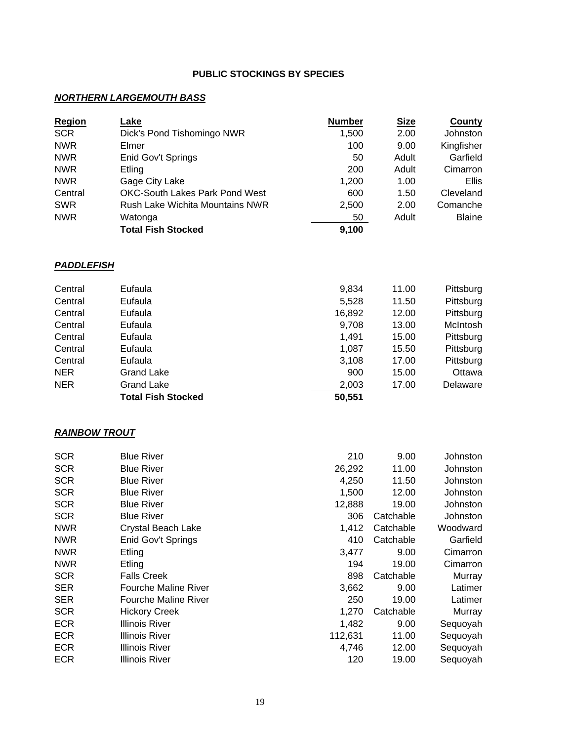## *NORTHERN LARGEMOUTH BASS*

| Region     | Lake                                   | <b>Number</b> | <b>Size</b> | County        |
|------------|----------------------------------------|---------------|-------------|---------------|
| <b>SCR</b> | Dick's Pond Tishomingo NWR             | 1,500         | 2.00        | Johnston      |
| <b>NWR</b> | Elmer                                  | 100           | 9.00        | Kingfisher    |
| <b>NWR</b> | Enid Gov't Springs                     | 50            | Adult       | Garfield      |
| <b>NWR</b> | Etling                                 | 200           | Adult       | Cimarron      |
| <b>NWR</b> | Gage City Lake                         | 1,200         | 1.00        | <b>Ellis</b>  |
| Central    | <b>OKC-South Lakes Park Pond West</b>  | 600           | 1.50        | Cleveland     |
| <b>SWR</b> | <b>Rush Lake Wichita Mountains NWR</b> | 2,500         | 2.00        | Comanche      |
| <b>NWR</b> | Watonga                                | 50            | Adult       | <b>Blaine</b> |
|            | <b>Total Fish Stocked</b>              | 9,100         |             |               |

#### *PADDLEFISH*

|            | <b>Total Fish Stocked</b> | 50,551 |       |           |
|------------|---------------------------|--------|-------|-----------|
| <b>NER</b> | Grand Lake                | 2,003  | 17.00 | Delaware  |
| <b>NER</b> | Grand Lake                | 900    | 15.00 | Ottawa    |
| Central    | Eufaula                   | 3,108  | 17.00 | Pittsburg |
| Central    | Eufaula                   | 1,087  | 15.50 | Pittsburg |
| Central    | Eufaula                   | 1,491  | 15.00 | Pittsburg |
| Central    | Eufaula                   | 9,708  | 13.00 | McIntosh  |
| Central    | Eufaula                   | 16,892 | 12.00 | Pittsburg |
| Central    | Eufaula                   | 5,528  | 11.50 | Pittsburg |
| Central    | Eufaula                   | 9,834  | 11.00 | Pittsburg |

#### *RAINBOW TROUT*

| <b>SCR</b> | <b>Blue River</b>           | 210     | 9.00      | Johnston |
|------------|-----------------------------|---------|-----------|----------|
| <b>SCR</b> | <b>Blue River</b>           | 26,292  | 11.00     | Johnston |
| <b>SCR</b> | <b>Blue River</b>           | 4,250   | 11.50     | Johnston |
| <b>SCR</b> | <b>Blue River</b>           | 1,500   | 12.00     | Johnston |
| <b>SCR</b> | <b>Blue River</b>           | 12,888  | 19.00     | Johnston |
| <b>SCR</b> | <b>Blue River</b>           | 306     | Catchable | Johnston |
| <b>NWR</b> | Crystal Beach Lake          | 1,412   | Catchable | Woodward |
| <b>NWR</b> | Enid Gov't Springs          | 410     | Catchable | Garfield |
| <b>NWR</b> | Etling                      | 3,477   | 9.00      | Cimarron |
| <b>NWR</b> | Etling                      | 194     | 19.00     | Cimarron |
| <b>SCR</b> | <b>Falls Creek</b>          | 898     | Catchable | Murray   |
| <b>SER</b> | <b>Fourche Maline River</b> | 3,662   | 9.00      | Latimer  |
| <b>SER</b> | <b>Fourche Maline River</b> | 250     | 19.00     | Latimer  |
| <b>SCR</b> | <b>Hickory Creek</b>        | 1,270   | Catchable | Murray   |
| <b>ECR</b> | Illinois River              | 1,482   | 9.00      | Sequoyah |
| <b>ECR</b> | Illinois River              | 112,631 | 11.00     | Sequoyah |
| <b>ECR</b> | Illinois River              | 4,746   | 12.00     | Sequoyah |
| <b>ECR</b> | Illinois River              | 120     | 19.00     | Sequoyah |
|            |                             |         |           |          |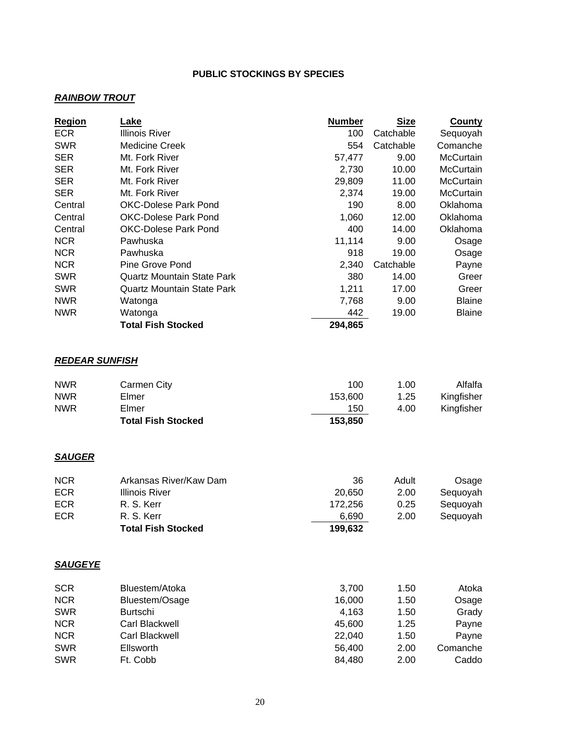## *RAINBOW TROUT*

| <b>Region</b>         | Lake                              | <b>Number</b> | <b>Size</b> | <b>County</b> |
|-----------------------|-----------------------------------|---------------|-------------|---------------|
| <b>ECR</b>            | <b>Illinois River</b>             | 100           | Catchable   | Sequoyah      |
| <b>SWR</b>            | <b>Medicine Creek</b>             | 554           | Catchable   | Comanche      |
| <b>SER</b>            | Mt. Fork River                    | 57,477        | 9.00        | McCurtain     |
| <b>SER</b>            | Mt. Fork River                    | 2,730         | 10.00       | McCurtain     |
| <b>SER</b>            | Mt. Fork River                    | 29,809        | 11.00       | McCurtain     |
| <b>SER</b>            | Mt. Fork River                    | 2,374         | 19.00       | McCurtain     |
| Central               | OKC-Dolese Park Pond              | 190           | 8.00        | Oklahoma      |
| Central               | <b>OKC-Dolese Park Pond</b>       | 1,060         | 12.00       | Oklahoma      |
| Central               | <b>OKC-Dolese Park Pond</b>       | 400           | 14.00       | Oklahoma      |
| <b>NCR</b>            | Pawhuska                          | 11,114        | 9.00        | Osage         |
| <b>NCR</b>            | Pawhuska                          | 918           | 19.00       | Osage         |
| <b>NCR</b>            | <b>Pine Grove Pond</b>            | 2,340         | Catchable   | Payne         |
| <b>SWR</b>            | <b>Quartz Mountain State Park</b> | 380           | 14.00       | Greer         |
| <b>SWR</b>            | <b>Quartz Mountain State Park</b> | 1,211         | 17.00       | Greer         |
| <b>NWR</b>            | Watonga                           | 7,768         | 9.00        | <b>Blaine</b> |
| <b>NWR</b>            | Watonga                           | 442           | 19.00       | <b>Blaine</b> |
|                       | <b>Total Fish Stocked</b>         | 294,865       |             |               |
| <b>REDEAR SUNFISH</b> |                                   |               |             |               |
| <b>NWR</b>            | Carmen City                       | 100           | 1.00        | Alfalfa       |
| <b>NWR</b>            | Elmer                             | 153,600       | 1.25        | Kingfisher    |
| <b>NWR</b>            | Elmer                             | 150           | 4.00        | Kingfisher    |
|                       | <b>Total Fish Stocked</b>         | 153,850       |             |               |
|                       |                                   |               |             |               |
| <b>SAUGER</b>         |                                   |               |             |               |
| <b>NCR</b>            | Arkansas River/Kaw Dam            | 36            | Adult       | Osage         |
| <b>ECR</b>            | <b>Illinois River</b>             | 20,650        | 2.00        | Sequoyah      |
| <b>ECR</b>            | R. S. Kerr                        | 172,256       | 0.25        | Sequoyah      |
| <b>ECR</b>            | R. S. Kerr                        | 6,690         | 2.00        | Sequoyah      |
|                       | <b>Total Fish Stocked</b>         | 199,632       |             |               |
|                       |                                   |               |             |               |
| <b>SAUGEYE</b>        |                                   |               |             |               |
| <b>SCR</b>            | Bluestem/Atoka                    | 3,700         | 1.50        | Atoka         |
| <b>NCR</b>            | Bluestem/Osage                    | 16,000        | 1.50        | Osage         |
| <b>SWR</b>            | <b>Burtschi</b>                   | 4,163         | 1.50        | Grady         |
| <b>NCR</b>            | Carl Blackwell                    | 45,600        | 1.25        | Payne         |
| <b>NCR</b>            | Carl Blackwell                    | 22,040        | 1.50        | Payne         |
| <b>SWR</b>            | Ellsworth                         | 56,400        | 2.00        | Comanche      |
| <b>SWR</b>            | Ft. Cobb                          | 84,480        | 2.00        | Caddo         |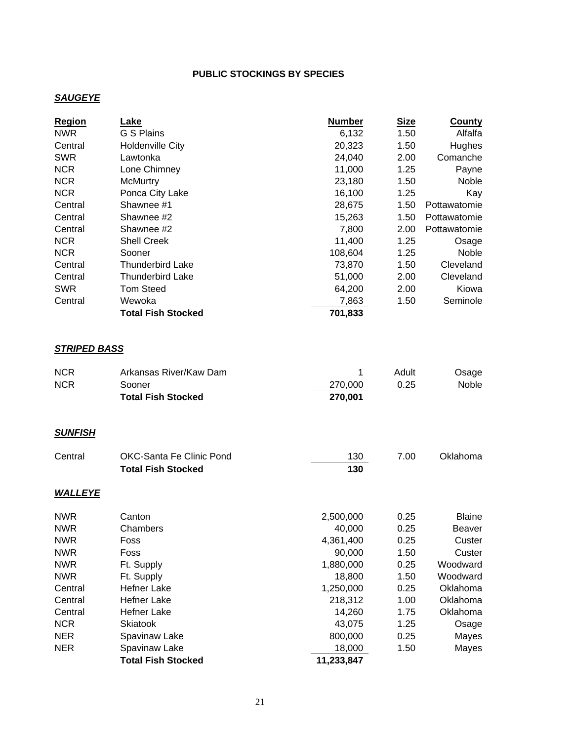## *SAUGEYE*

| <b>Region</b>       | Lake                            | <b>Number</b> | <u>Size</u> | <b>County</b> |
|---------------------|---------------------------------|---------------|-------------|---------------|
| <b>NWR</b>          | G S Plains                      | 6,132         | 1.50        | Alfalfa       |
| Central             | <b>Holdenville City</b>         | 20,323        | 1.50        | Hughes        |
| <b>SWR</b>          | Lawtonka                        | 24,040        | 2.00        | Comanche      |
| <b>NCR</b>          | Lone Chimney                    | 11,000        | 1.25        | Payne         |
| <b>NCR</b>          | <b>McMurtry</b>                 | 23,180        | 1.50        | Noble         |
| <b>NCR</b>          | Ponca City Lake                 | 16,100        | 1.25        | Kay           |
| Central             | Shawnee #1                      | 28,675        | 1.50        | Pottawatomie  |
| Central             | Shawnee #2                      | 15,263        | 1.50        | Pottawatomie  |
| Central             | Shawnee #2                      | 7,800         | 2.00        | Pottawatomie  |
| <b>NCR</b>          | <b>Shell Creek</b>              | 11,400        | 1.25        | Osage         |
| <b>NCR</b>          | Sooner                          | 108,604       | 1.25        | Noble         |
| Central             | <b>Thunderbird Lake</b>         | 73,870        | 1.50        | Cleveland     |
| Central             | <b>Thunderbird Lake</b>         | 51,000        | 2.00        | Cleveland     |
| <b>SWR</b>          | <b>Tom Steed</b>                | 64,200        | 2.00        | Kiowa         |
| Central             | Wewoka                          | 7,863         | 1.50        | Seminole      |
|                     | <b>Total Fish Stocked</b>       | 701,833       |             |               |
| <b>STRIPED BASS</b> |                                 |               |             |               |
| <b>NCR</b>          | Arkansas River/Kaw Dam          | 1             | Adult       | Osage         |
| <b>NCR</b>          | Sooner                          | 270,000       | 0.25        | Noble         |
|                     | <b>Total Fish Stocked</b>       | 270,001       |             |               |
| <b>SUNFISH</b>      |                                 |               |             |               |
| Central             | <b>OKC-Santa Fe Clinic Pond</b> | 130           | 7.00        | Oklahoma      |
|                     | <b>Total Fish Stocked</b>       | 130           |             |               |
| <b>WALLEYE</b>      |                                 |               |             |               |
| <b>NWR</b>          | Canton                          | 2,500,000     | 0.25        | <b>Blaine</b> |
| <b>NWR</b>          | Chambers                        | 40,000        | 0.25        | <b>Beaver</b> |
| <b>NWR</b>          | Foss                            | 4,361,400     | 0.25        | Custer        |
| <b>NWR</b>          | Foss                            | 90,000        | 1.50        | Custer        |
| <b>NWR</b>          | Ft. Supply                      | 1,880,000     | 0.25        | Woodward      |
| <b>NWR</b>          | Ft. Supply                      | 18,800        | 1.50        | Woodward      |
| Central             | Hefner Lake                     | 1,250,000     | 0.25        | Oklahoma      |
| Central             | Hefner Lake                     | 218,312       | 1.00        | Oklahoma      |
| Central             | <b>Hefner Lake</b>              | 14,260        | 1.75        | Oklahoma      |
| <b>NCR</b>          | Skiatook                        | 43,075        | 1.25        | Osage         |
| <b>NER</b>          | Spavinaw Lake                   | 800,000       | 0.25        | Mayes         |
| <b>NER</b>          | Spavinaw Lake                   | 18,000        | 1.50        | Mayes         |
|                     | <b>Total Fish Stocked</b>       | 11,233,847    |             |               |